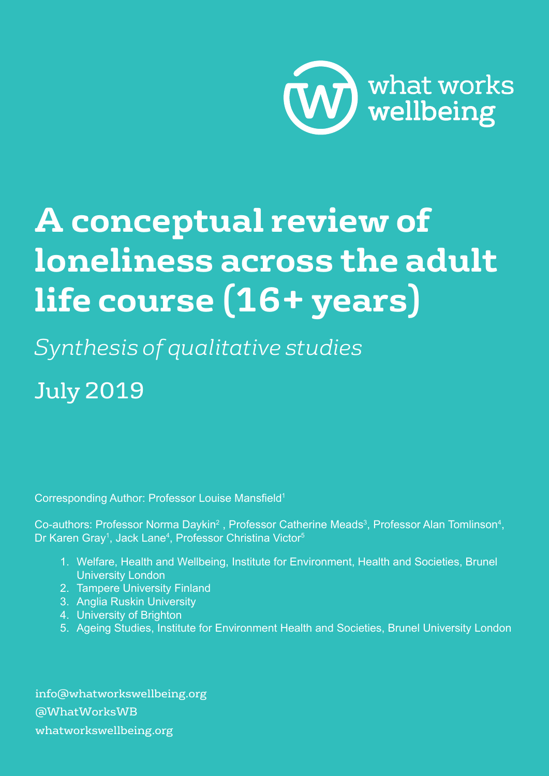

# **A conceptual review of loneliness across the adult life course (16+ years)**

*Synthesis of qualitative studies*

July 2019

Corresponding Author: Professor Louise Mansfield<sup>1</sup>

Co-authors: Professor Norma Daykin<sup>2</sup>, Professor Catherine Meads<sup>3</sup>, Professor Alan Tomlinson<sup>4</sup>, Dr Karen Gray<sup>1</sup>, Jack Lane<sup>4</sup>, Professor Christina Victor<sup>5</sup>

- 1. Welfare, Health and Wellbeing, Institute for Environment, Health and Societies, Brunel University London
- 2. Tampere University Finland
- 3. Anglia Ruskin University
- 4. University of Brighton
- 5. Ageing Studies, Institute for Environment Health and Societies, Brunel University London

info@whatworkswellbeing.org @WhatWorksWB whatworkswellbeing.org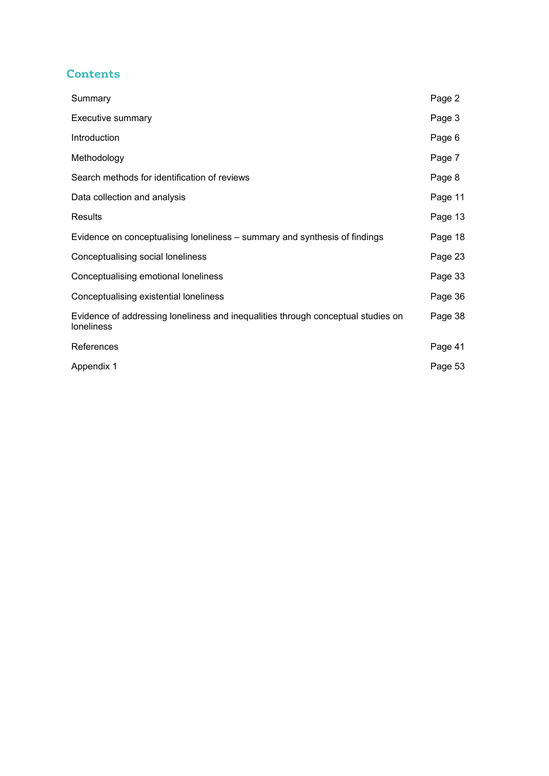# **Contents**

| Summary                                                                                               | Page 2  |
|-------------------------------------------------------------------------------------------------------|---------|
| Executive summary                                                                                     | Page 3  |
| Introduction                                                                                          | Page 6  |
| Methodology                                                                                           | Page 7  |
| Search methods for identification of reviews                                                          | Page 8  |
| Data collection and analysis                                                                          | Page 11 |
| <b>Results</b>                                                                                        | Page 13 |
| Evidence on conceptualising loneliness – summary and synthesis of findings                            | Page 18 |
| Conceptualising social loneliness                                                                     | Page 23 |
| Conceptualising emotional loneliness                                                                  | Page 33 |
| Conceptualising existential loneliness                                                                | Page 36 |
| Evidence of addressing loneliness and inequalities through conceptual studies on<br><b>loneliness</b> | Page 38 |
| References                                                                                            | Page 41 |
| Appendix 1                                                                                            | Page 53 |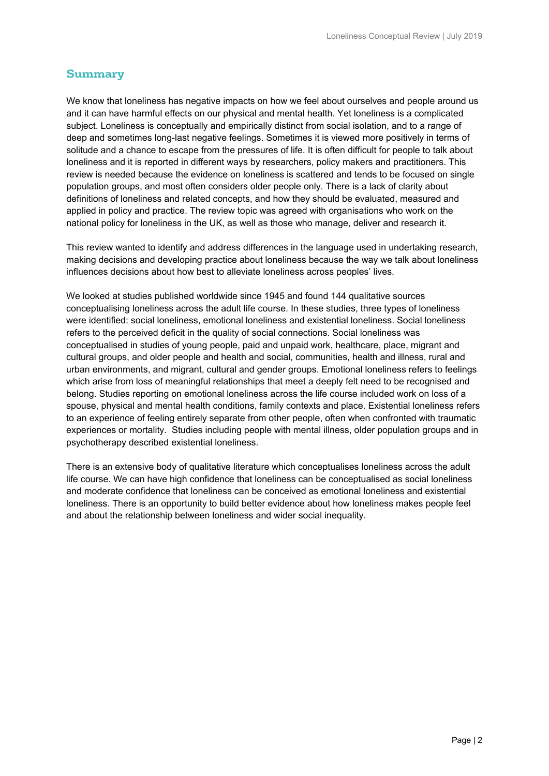# **Summary**

We know that loneliness has negative impacts on how we feel about ourselves and people around us and it can have harmful effects on our physical and mental health. Yet loneliness is a complicated subject. Loneliness is conceptually and empirically distinct from social isolation, and to a range of deep and sometimes long-last negative feelings. Sometimes it is viewed more positively in terms of solitude and a chance to escape from the pressures of life. It is often difficult for people to talk about loneliness and it is reported in different ways by researchers, policy makers and practitioners. This review is needed because the evidence on loneliness is scattered and tends to be focused on single population groups, and most often considers older people only. There is a lack of clarity about definitions of loneliness and related concepts, and how they should be evaluated, measured and applied in policy and practice. The review topic was agreed with organisations who work on the national policy for loneliness in the UK, as well as those who manage, deliver and research it.

This review wanted to identify and address differences in the language used in undertaking research, making decisions and developing practice about loneliness because the way we talk about loneliness influences decisions about how best to alleviate loneliness across peoples' lives.

We looked at studies published worldwide since 1945 and found 144 qualitative sources conceptualising loneliness across the adult life course. In these studies, three types of loneliness were identified: social loneliness, emotional loneliness and existential loneliness. Social loneliness refers to the perceived deficit in the quality of social connections. Social loneliness was conceptualised in studies of young people, paid and unpaid work, healthcare, place, migrant and cultural groups, and older people and health and social, communities, health and illness, rural and urban environments, and migrant, cultural and gender groups. Emotional loneliness refers to feelings which arise from loss of meaningful relationships that meet a deeply felt need to be recognised and belong. Studies reporting on emotional loneliness across the life course included work on loss of a spouse, physical and mental health conditions, family contexts and place. Existential loneliness refers to an experience of feeling entirely separate from other people, often when confronted with traumatic experiences or mortality. Studies including people with mental illness, older population groups and in psychotherapy described existential loneliness.

There is an extensive body of qualitative literature which conceptualises loneliness across the adult life course. We can have high confidence that loneliness can be conceptualised as social loneliness and moderate confidence that loneliness can be conceived as emotional loneliness and existential loneliness. There is an opportunity to build better evidence about how loneliness makes people feel and about the relationship between loneliness and wider social inequality.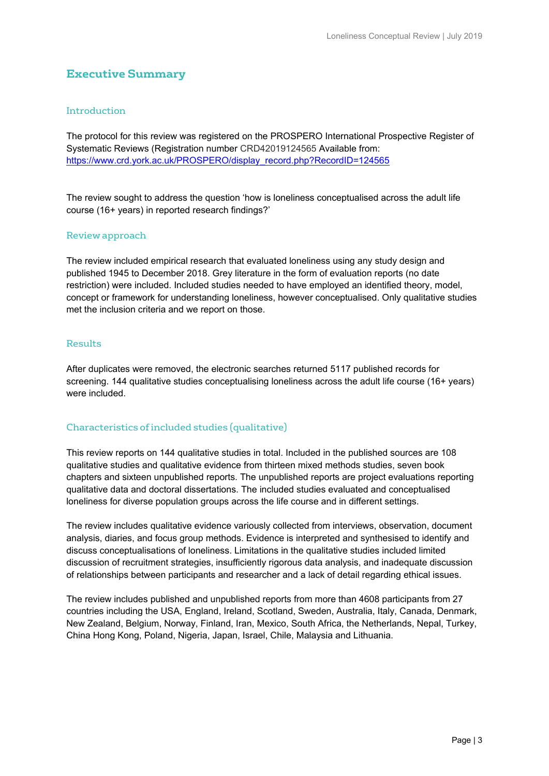# **Executive Summary**

#### Introduction

The protocol for this review was registered on the PROSPERO International Prospective Register of Systematic Reviews (Registration number CRD42019124565 Available from: [https://www.crd.york.ac.uk/PROSPERO/display\\_record.php?RecordID=124565](https://www.crd.york.ac.uk/PROSPERO/display_record.php?RecordID=124565)

The review sought to address the question 'how is loneliness conceptualised across the adult life course (16+ years) in reported research findings?'

#### Review approach

The review included empirical research that evaluated loneliness using any study design and published 1945 to December 2018. Grey literature in the form of evaluation reports (no date restriction) were included. Included studies needed to have employed an identified theory, model, concept or framework for understanding loneliness, however conceptualised. Only qualitative studies met the inclusion criteria and we report on those.

#### Results

After duplicates were removed, the electronic searches returned 5117 published records for screening. 144 qualitative studies conceptualising loneliness across the adult life course (16+ years) were included.

#### Characteristics of included studies (qualitative)

This review reports on 144 qualitative studies in total. Included in the published sources are 108 qualitative studies and qualitative evidence from thirteen mixed methods studies, seven book chapters and sixteen unpublished reports. The unpublished reports are project evaluations reporting qualitative data and doctoral dissertations. The included studies evaluated and conceptualised loneliness for diverse population groups across the life course and in different settings.

The review includes qualitative evidence variously collected from interviews, observation, document analysis, diaries, and focus group methods. Evidence is interpreted and synthesised to identify and discuss conceptualisations of loneliness. Limitations in the qualitative studies included limited discussion of recruitment strategies, insufficiently rigorous data analysis, and inadequate discussion of relationships between participants and researcher and a lack of detail regarding ethical issues.

The review includes published and unpublished reports from more than 4608 participants from 27 countries including the USA, England, Ireland, Scotland, Sweden, Australia, Italy, Canada, Denmark, New Zealand, Belgium, Norway, Finland, Iran, Mexico, South Africa, the Netherlands, Nepal, Turkey, China Hong Kong, Poland, Nigeria, Japan, Israel, Chile, Malaysia and Lithuania.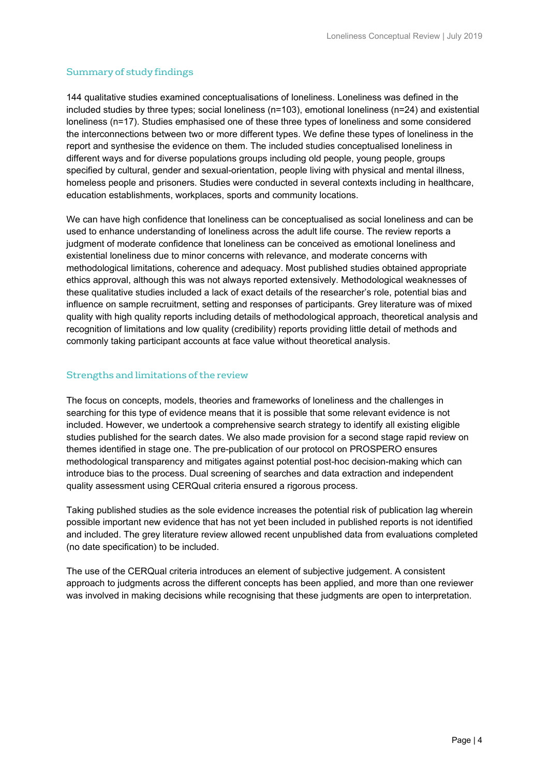# Summary of study findings

144 qualitative studies examined conceptualisations of loneliness. Loneliness was defined in the included studies by three types; social loneliness (n=103), emotional loneliness (n=24) and existential loneliness (n=17). Studies emphasised one of these three types of loneliness and some considered the interconnections between two or more different types. We define these types of loneliness in the report and synthesise the evidence on them. The included studies conceptualised loneliness in different ways and for diverse populations groups including old people, young people, groups specified by cultural, gender and sexual-orientation, people living with physical and mental illness, homeless people and prisoners. Studies were conducted in several contexts including in healthcare, education establishments, workplaces, sports and community locations.

We can have high confidence that loneliness can be conceptualised as social loneliness and can be used to enhance understanding of loneliness across the adult life course. The review reports a judgment of moderate confidence that loneliness can be conceived as emotional loneliness and existential loneliness due to minor concerns with relevance, and moderate concerns with methodological limitations, coherence and adequacy. Most published studies obtained appropriate ethics approval, although this was not always reported extensively. Methodological weaknesses of these qualitative studies included a lack of exact details of the researcher's role, potential bias and influence on sample recruitment, setting and responses of participants. Grey literature was of mixed quality with high quality reports including details of methodological approach, theoretical analysis and recognition of limitations and low quality (credibility) reports providing little detail of methods and commonly taking participant accounts at face value without theoretical analysis.

#### Strengths and limitations of the review

The focus on concepts, models, theories and frameworks of loneliness and the challenges in searching for this type of evidence means that it is possible that some relevant evidence is not included. However, we undertook a comprehensive search strategy to identify all existing eligible studies published for the search dates. We also made provision for a second stage rapid review on themes identified in stage one. The pre-publication of our protocol on PROSPERO ensures methodological transparency and mitigates against potential post-hoc decision-making which can introduce bias to the process. Dual screening of searches and data extraction and independent quality assessment using CERQual criteria ensured a rigorous process.

Taking published studies as the sole evidence increases the potential risk of publication lag wherein possible important new evidence that has not yet been included in published reports is not identified and included. The grey literature review allowed recent unpublished data from evaluations completed (no date specification) to be included.

The use of the CERQual criteria introduces an element of subjective judgement. A consistent approach to judgments across the different concepts has been applied, and more than one reviewer was involved in making decisions while recognising that these judgments are open to interpretation.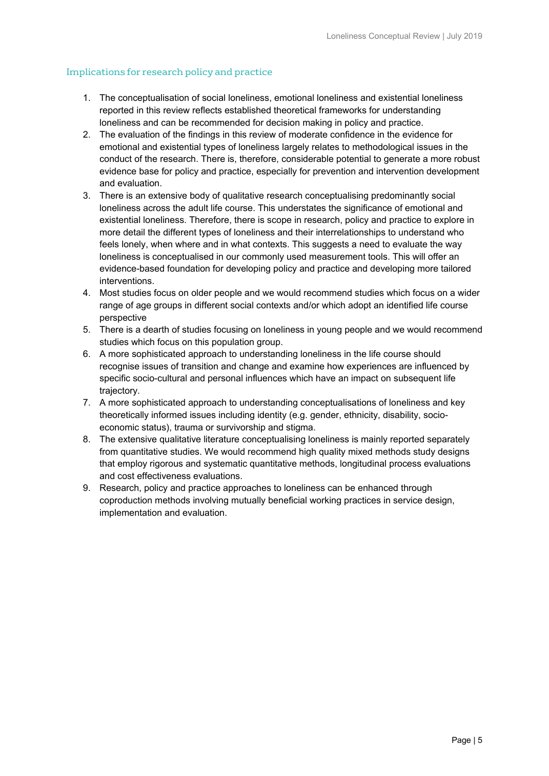#### Implications for research policy and practice

- 1. The conceptualisation of social loneliness, emotional loneliness and existential loneliness reported in this review reflects established theoretical frameworks for understanding loneliness and can be recommended for decision making in policy and practice.
- 2. The evaluation of the findings in this review of moderate confidence in the evidence for emotional and existential types of loneliness largely relates to methodological issues in the conduct of the research. There is, therefore, considerable potential to generate a more robust evidence base for policy and practice, especially for prevention and intervention development and evaluation.
- 3. There is an extensive body of qualitative research conceptualising predominantly social loneliness across the adult life course. This understates the significance of emotional and existential loneliness. Therefore, there is scope in research, policy and practice to explore in more detail the different types of loneliness and their interrelationships to understand who feels lonely, when where and in what contexts. This suggests a need to evaluate the way loneliness is conceptualised in our commonly used measurement tools. This will offer an evidence-based foundation for developing policy and practice and developing more tailored interventions.
- 4. Most studies focus on older people and we would recommend studies which focus on a wider range of age groups in different social contexts and/or which adopt an identified life course perspective
- 5. There is a dearth of studies focusing on loneliness in young people and we would recommend studies which focus on this population group.
- 6. A more sophisticated approach to understanding loneliness in the life course should recognise issues of transition and change and examine how experiences are influenced by specific socio-cultural and personal influences which have an impact on subsequent life trajectory.
- 7. A more sophisticated approach to understanding conceptualisations of loneliness and key theoretically informed issues including identity (e.g. gender, ethnicity, disability, socioeconomic status), trauma or survivorship and stigma.
- 8. The extensive qualitative literature conceptualising loneliness is mainly reported separately from quantitative studies. We would recommend high quality mixed methods study designs that employ rigorous and systematic quantitative methods, longitudinal process evaluations and cost effectiveness evaluations.
- 9. Research, policy and practice approaches to loneliness can be enhanced through coproduction methods involving mutually beneficial working practices in service design, implementation and evaluation.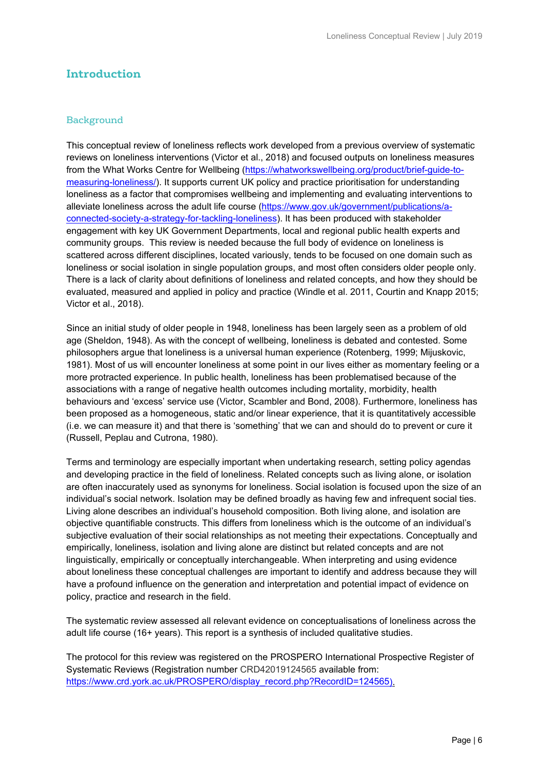# **Introduction**

#### Background

This conceptual review of loneliness reflects work developed from a previous overview of systematic reviews on loneliness interventions (Victor et al., 2018) and focused outputs on loneliness measures from the What Works Centre for Wellbeing [\(https://whatworkswellbeing.org/product/brief-guide-to](https://whatworkswellbeing.org/product/brief-guide-to-measuring-loneliness/)[measuring-loneliness/\)](https://whatworkswellbeing.org/product/brief-guide-to-measuring-loneliness/). It supports current UK policy and practice prioritisation for understanding loneliness as a factor that compromises wellbeing and implementing and evaluating interventions to alleviate loneliness across the adult life course [\(https://www.gov.uk/government/publications/a](https://www.gov.uk/government/publications/a-connected-society-a-strategy-for-tackling-loneliness)[connected-society-a-strategy-for-tackling-loneliness\)](https://www.gov.uk/government/publications/a-connected-society-a-strategy-for-tackling-loneliness). It has been produced with stakeholder engagement with key UK Government Departments, local and regional public health experts and community groups. This review is needed because the full body of evidence on loneliness is scattered across different disciplines, located variously, tends to be focused on one domain such as loneliness or social isolation in single population groups, and most often considers older people only. There is a lack of clarity about definitions of loneliness and related concepts, and how they should be evaluated, measured and applied in policy and practice (Windle et al. 2011, Courtin and Knapp 2015; Victor et al., 2018).

Since an initial study of older people in 1948, loneliness has been largely seen as a problem of old age (Sheldon, 1948). As with the concept of wellbeing, loneliness is debated and contested. Some philosophers argue that loneliness is a universal human experience (Rotenberg, 1999; Mijuskovic, 1981). Most of us will encounter loneliness at some point in our lives either as momentary feeling or a more protracted experience. In public health, loneliness has been problematised because of the associations with a range of negative health outcomes including mortality, morbidity, health behaviours and 'excess' service use (Victor, Scambler and Bond, 2008). Furthermore, loneliness has been proposed as a homogeneous, static and/or linear experience, that it is quantitatively accessible (i.e. we can measure it) and that there is 'something' that we can and should do to prevent or cure it (Russell, Peplau and Cutrona, 1980).

Terms and terminology are especially important when undertaking research, setting policy agendas and developing practice in the field of loneliness. Related concepts such as living alone, or isolation are often inaccurately used as synonyms for loneliness. Social isolation is focused upon the size of an individual's social network. Isolation may be defined broadly as having few and infrequent social ties. Living alone describes an individual's household composition. Both living alone, and isolation are objective quantifiable constructs. This differs from loneliness which is the outcome of an individual's subjective evaluation of their social relationships as not meeting their expectations. Conceptually and empirically, loneliness, isolation and living alone are distinct but related concepts and are not linguistically, empirically or conceptually interchangeable. When interpreting and using evidence about loneliness these conceptual challenges are important to identify and address because they will have a profound influence on the generation and interpretation and potential impact of evidence on policy, practice and research in the field.

The systematic review assessed all relevant evidence on conceptualisations of loneliness across the adult life course (16+ years). This report is a synthesis of included qualitative studies.

The protocol for this review was registered on the PROSPERO International Prospective Register of Systematic Reviews (Registration number CRD42019124565 available from: [https://www.crd.york.ac.uk/PROSPERO/display\\_record.php?RecordID=124565\)](https://www.crd.york.ac.uk/PROSPERO/display_record.php?RecordID=124565).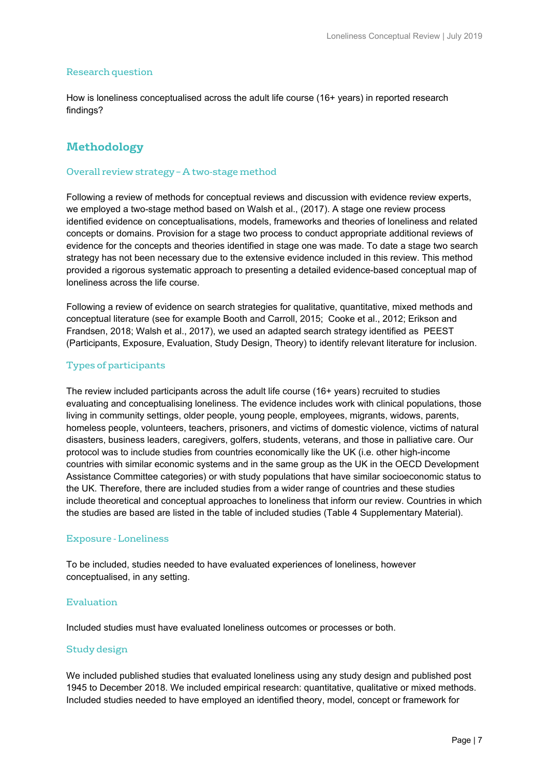#### Research question

How is loneliness conceptualised across the adult life course (16+ years) in reported research findings?

# **Methodology**

#### Overall review strategy – A two-stage method

Following a review of methods for conceptual reviews and discussion with evidence review experts, we employed a two-stage method based on Walsh et al., (2017). A stage one review process identified evidence on conceptualisations, models, frameworks and theories of loneliness and related concepts or domains. Provision for a stage two process to conduct appropriate additional reviews of evidence for the concepts and theories identified in stage one was made. To date a stage two search strategy has not been necessary due to the extensive evidence included in this review. This method provided a rigorous systematic approach to presenting a detailed evidence-based conceptual map of loneliness across the life course.

Following a review of evidence on search strategies for qualitative, quantitative, mixed methods and conceptual literature (see for example Booth and Carroll, 2015; Cooke et al., 2012; Erikson and Frandsen, 2018; Walsh et al., 2017), we used an adapted search strategy identified as PEEST (Participants, Exposure, Evaluation, Study Design, Theory) to identify relevant literature for inclusion.

#### Types of participants

The review included participants across the adult life course (16+ years) recruited to studies evaluating and conceptualising loneliness. The evidence includes work with clinical populations, those living in community settings, older people, young people, employees, migrants, widows, parents, homeless people, volunteers, teachers, prisoners, and victims of domestic violence, victims of natural disasters, business leaders, caregivers, golfers, students, veterans, and those in palliative care. Our protocol was to include studies from countries economically like the UK (i.e. other high-income countries with similar economic systems and in the same group as the UK in the OECD Development Assistance Committee categories) or with study populations that have similar socioeconomic status to the UK. Therefore, there are included studies from a wider range of countries and these studies include theoretical and conceptual approaches to loneliness that inform our review. Countries in which the studies are based are listed in the table of included studies (Table 4 Supplementary Material).

#### Exposure - Loneliness

To be included, studies needed to have evaluated experiences of loneliness, however conceptualised, in any setting.

#### Evaluation

Included studies must have evaluated loneliness outcomes or processes or both.

#### Study design

We included published studies that evaluated loneliness using any study design and published post 1945 to December 2018. We included empirical research: quantitative, qualitative or mixed methods. Included studies needed to have employed an identified theory, model, concept or framework for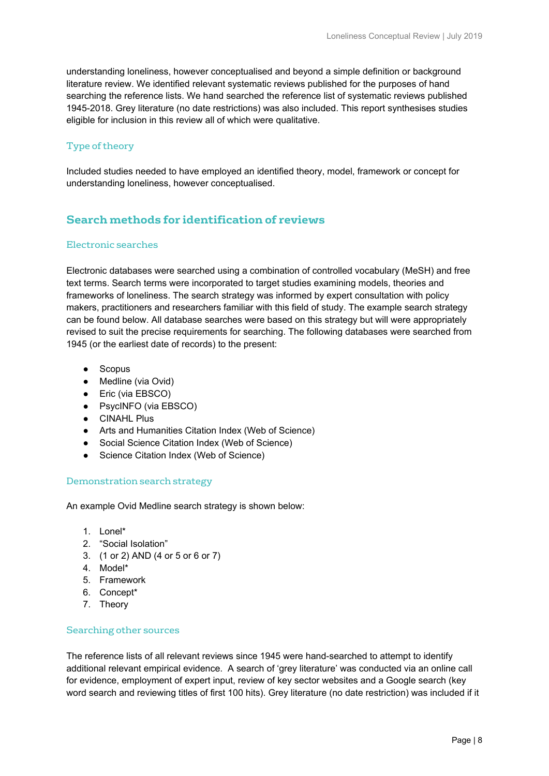understanding loneliness, however conceptualised and beyond a simple definition or background literature review. We identified relevant systematic reviews published for the purposes of hand searching the reference lists. We hand searched the reference list of systematic reviews published 1945-2018. Grey literature (no date restrictions) was also included. This report synthesises studies eligible for inclusion in this review all of which were qualitative.

#### Type of theory

Included studies needed to have employed an identified theory, model, framework or concept for understanding loneliness, however conceptualised.

# **Search methods for identification of reviews**

#### Electronic searches

Electronic databases were searched using a combination of controlled vocabulary (MeSH) and free text terms. Search terms were incorporated to target studies examining models, theories and frameworks of loneliness. The search strategy was informed by expert consultation with policy makers, practitioners and researchers familiar with this field of study. The example search strategy can be found below. All database searches were based on this strategy but will were appropriately revised to suit the precise requirements for searching. The following databases were searched from 1945 (or the earliest date of records) to the present:

- Scopus
- Medline (via Ovid)
- Eric (via EBSCO)
- PsycINFO (via EBSCO)
- **•** CINAHL Plus
- Arts and Humanities Citation Index (Web of Science)
- Social Science Citation Index (Web of Science)
- Science Citation Index (Web of Science)

#### Demonstration search strategy

An example Ovid Medline search strategy is shown below:

- $1$  Lonel\*
- 2. "Social Isolation"
- 3. (1 or 2) AND (4 or 5 or 6 or 7)
- 4. Model\*
- 5. Framework
- 6. Concept\*
- 7. Theory

#### Searching other sources

The reference lists of all relevant reviews since 1945 were hand-searched to attempt to identify additional relevant empirical evidence. A search of 'grey literature' was conducted via an online call for evidence, employment of expert input, review of key sector websites and a Google search (key word search and reviewing titles of first 100 hits). Grey literature (no date restriction) was included if it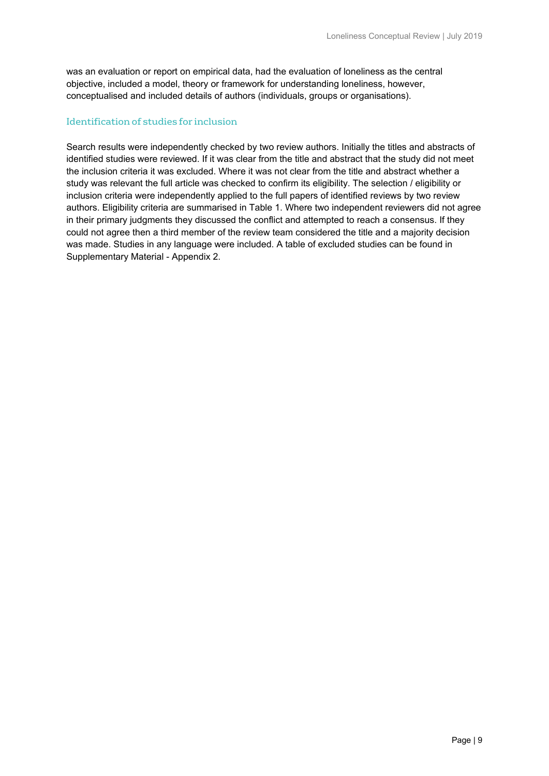was an evaluation or report on empirical data, had the evaluation of loneliness as the central objective, included a model, theory or framework for understanding loneliness, however, conceptualised and included details of authors (individuals, groups or organisations).

#### Identification of studies for inclusion

Search results were independently checked by two review authors. Initially the titles and abstracts of identified studies were reviewed. If it was clear from the title and abstract that the study did not meet the inclusion criteria it was excluded. Where it was not clear from the title and abstract whether a study was relevant the full article was checked to confirm its eligibility. The selection / eligibility or inclusion criteria were independently applied to the full papers of identified reviews by two review authors. Eligibility criteria are summarised in Table 1. Where two independent reviewers did not agree in their primary judgments they discussed the conflict and attempted to reach a consensus. If they could not agree then a third member of the review team considered the title and a majority decision was made. Studies in any language were included. A table of excluded studies can be found in Supplementary Material - Appendix 2.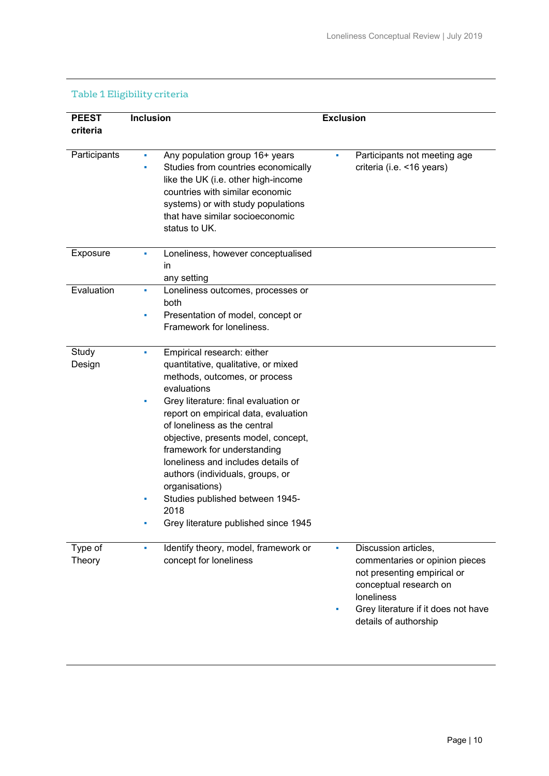| <b>PEEST</b><br>criteria | <b>Inclusion</b>                                                                                                                                                                                                                                                                                                                                                                                                                                                                                  | <b>Exclusion</b>                                                                                                                                                                                   |
|--------------------------|---------------------------------------------------------------------------------------------------------------------------------------------------------------------------------------------------------------------------------------------------------------------------------------------------------------------------------------------------------------------------------------------------------------------------------------------------------------------------------------------------|----------------------------------------------------------------------------------------------------------------------------------------------------------------------------------------------------|
| Participants             | Any population group 16+ years<br>Studies from countries economically<br>like the UK (i.e. other high-income<br>countries with similar economic<br>systems) or with study populations<br>that have similar socioeconomic<br>status to UK.                                                                                                                                                                                                                                                         | Participants not meeting age<br>criteria (i.e. <16 years)                                                                                                                                          |
| Exposure                 | Loneliness, however conceptualised<br>٠<br>in<br>any setting                                                                                                                                                                                                                                                                                                                                                                                                                                      |                                                                                                                                                                                                    |
| Evaluation               | Loneliness outcomes, processes or<br>a.<br>both                                                                                                                                                                                                                                                                                                                                                                                                                                                   |                                                                                                                                                                                                    |
|                          | Presentation of model, concept or<br>٠<br>Framework for loneliness.                                                                                                                                                                                                                                                                                                                                                                                                                               |                                                                                                                                                                                                    |
| Study<br>Design          | Empirical research: either<br>×.<br>quantitative, qualitative, or mixed<br>methods, outcomes, or process<br>evaluations<br>Grey literature: final evaluation or<br>٠<br>report on empirical data, evaluation<br>of loneliness as the central<br>objective, presents model, concept,<br>framework for understanding<br>loneliness and includes details of<br>authors (individuals, groups, or<br>organisations)<br>Studies published between 1945-<br>2018<br>Grey literature published since 1945 |                                                                                                                                                                                                    |
| Type of<br><b>Theory</b> | Identify theory, model, framework or<br>a.<br>concept for loneliness                                                                                                                                                                                                                                                                                                                                                                                                                              | Discussion articles,<br>٠<br>commentaries or opinion pieces<br>not presenting empirical or<br>conceptual research on<br>loneliness<br>Grey literature if it does not have<br>details of authorship |

# Table 1 Eligibility criteria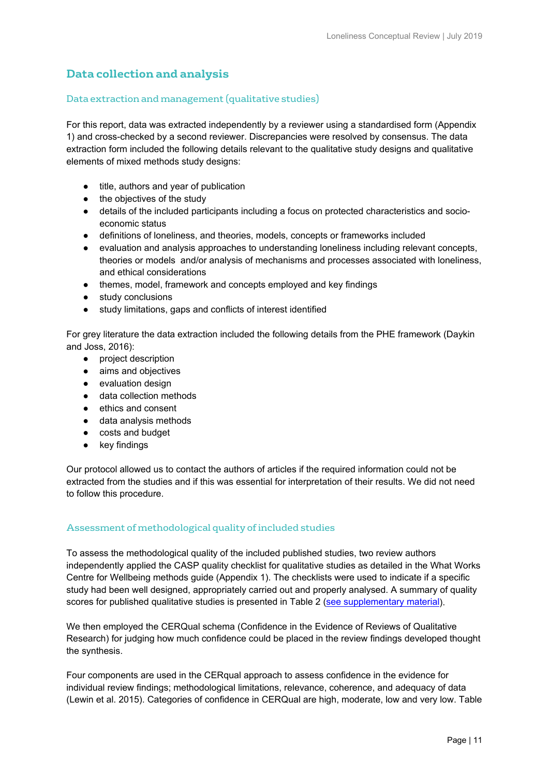# **Data collection and analysis**

#### Data extraction and management (qualitative studies)

For this report, data was extracted independently by a reviewer using a standardised form (Appendix 1) and cross-checked by a second reviewer. Discrepancies were resolved by consensus. The data extraction form included the following details relevant to the qualitative study designs and qualitative elements of mixed methods study designs:

- title, authors and year of publication
- the objectives of the study
- details of the included participants including a focus on protected characteristics and socioeconomic status
- definitions of loneliness, and theories, models, concepts or frameworks included
- evaluation and analysis approaches to understanding loneliness including relevant concepts, theories or models and/or analysis of mechanisms and processes associated with loneliness, and ethical considerations
- themes, model, framework and concepts employed and key findings
- study conclusions
- study limitations, gaps and conflicts of interest identified

For grey literature the data extraction included the following details from the PHE framework (Daykin and Joss, 2016):

- project description
- aims and objectives
- evaluation design
- data collection methods
- ethics and consent
- data analysis methods
- costs and budget
- key findings

Our protocol allowed us to contact the authors of articles if the required information could not be extracted from the studies and if this was essential for interpretation of their results. We did not need to follow this procedure.

#### Assessment of methodological quality of included studies

To assess the methodological quality of the included published studies, two review authors independently applied the CASP quality checklist for qualitative studies as detailed in the What Works Centre for Wellbeing methods guide (Appendix 1). The checklists were used to indicate if a specific study had been well designed, appropriately carried out and properly analysed. A summary of quality scores for published qualitative studies is presented in Table 2 [\(see supplementary material\)](https://whatworkswellbeing.org/wp-content/uploads/2018/11/FINAL-loneliness-conceptual-review-appendix.pdf).

We then employed the CERQual schema (Confidence in the Evidence of Reviews of Qualitative Research) for judging how much confidence could be placed in the review findings developed thought the synthesis.

Four components are used in the CERqual approach to assess confidence in the evidence for individual review findings; methodological limitations, relevance, coherence, and adequacy of data (Lewin et al. 2015). Categories of confidence in CERQual are high, moderate, low and very low. Table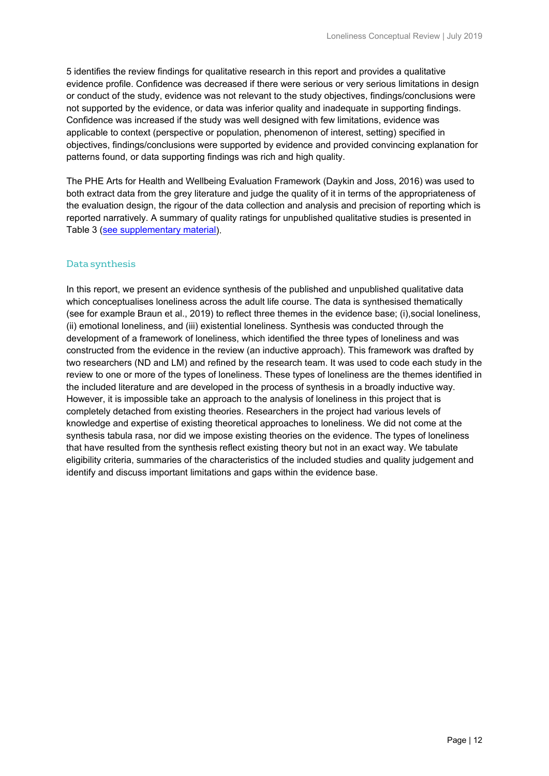5 identifies the review findings for qualitative research in this report and provides a qualitative evidence profile. Confidence was decreased if there were serious or very serious limitations in design or conduct of the study, evidence was not relevant to the study objectives, findings/conclusions were not supported by the evidence, or data was inferior quality and inadequate in supporting findings. Confidence was increased if the study was well designed with few limitations, evidence was applicable to context (perspective or population, phenomenon of interest, setting) specified in objectives, findings/conclusions were supported by evidence and provided convincing explanation for patterns found, or data supporting findings was rich and high quality.

The PHE Arts for Health and Wellbeing Evaluation Framework (Daykin and Joss, 2016) was used to both extract data from the grey literature and judge the quality of it in terms of the appropriateness of the evaluation design, the rigour of the data collection and analysis and precision of reporting which is reported narratively. A summary of quality ratings for unpublished qualitative studies is presented in Table 3 [\(see supplementary material\)](https://whatworkswellbeing.org/wp-content/uploads/2018/11/FINAL-loneliness-conceptual-review-appendix.pdf).

#### Data synthesis

In this report, we present an evidence synthesis of the published and unpublished qualitative data which conceptualises loneliness across the adult life course. The data is synthesised thematically (see for example Braun et al., 2019) to reflect three themes in the evidence base; (i),social loneliness, (ii) emotional loneliness, and (iii) existential loneliness. Synthesis was conducted through the development of a framework of loneliness, which identified the three types of loneliness and was constructed from the evidence in the review (an inductive approach). This framework was drafted by two researchers (ND and LM) and refined by the research team. It was used to code each study in the review to one or more of the types of loneliness. These types of loneliness are the themes identified in the included literature and are developed in the process of synthesis in a broadly inductive way. However, it is impossible take an approach to the analysis of loneliness in this project that is completely detached from existing theories. Researchers in the project had various levels of knowledge and expertise of existing theoretical approaches to loneliness. We did not come at the synthesis tabula rasa, nor did we impose existing theories on the evidence. The types of loneliness that have resulted from the synthesis reflect existing theory but not in an exact way. We tabulate eligibility criteria, summaries of the characteristics of the included studies and quality judgement and identify and discuss important limitations and gaps within the evidence base.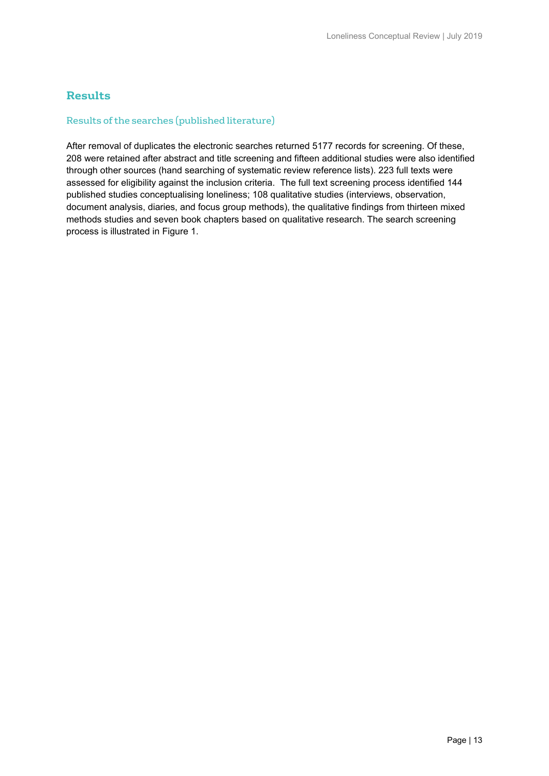# **Results**

#### Results of the searches (published literature)

After removal of duplicates the electronic searches returned 5177 records for screening. Of these, 208 were retained after abstract and title screening and fifteen additional studies were also identified through other sources (hand searching of systematic review reference lists). 223 full texts were assessed for eligibility against the inclusion criteria. The full text screening process identified 144 published studies conceptualising loneliness; 108 qualitative studies (interviews, observation, document analysis, diaries, and focus group methods), the qualitative findings from thirteen mixed methods studies and seven book chapters based on qualitative research. The search screening process is illustrated in Figure 1.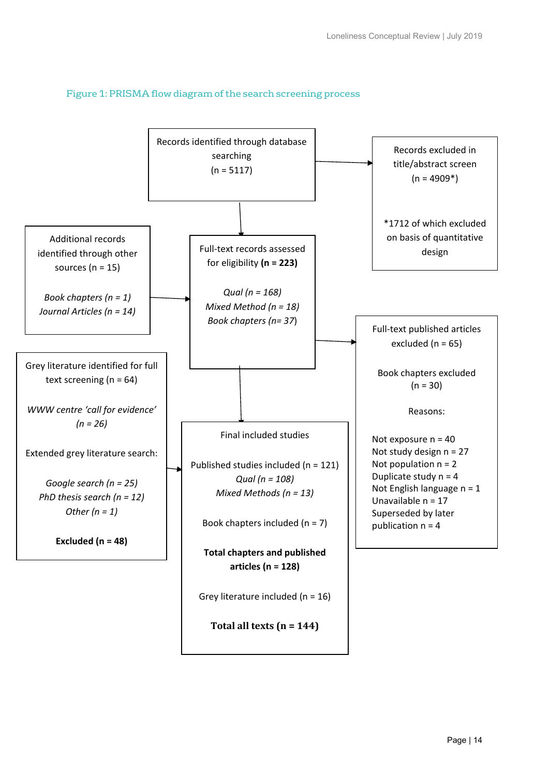

#### Figure 1: PRISMA flow diagram of the search screening process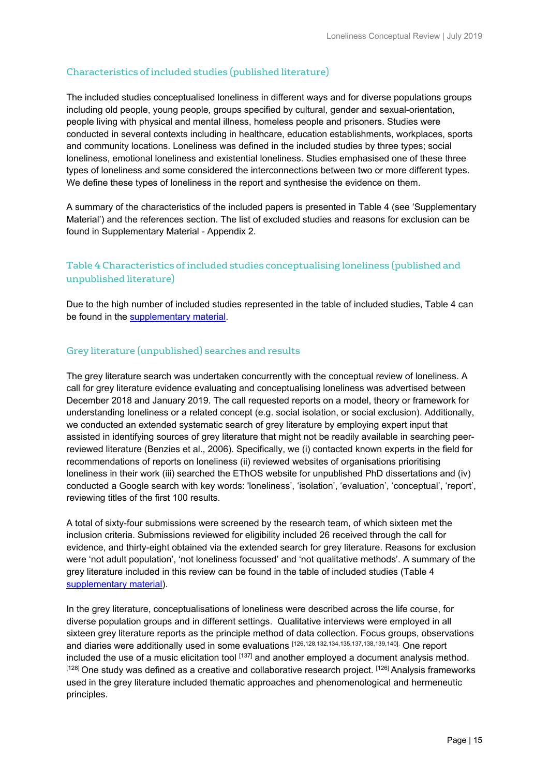#### Characteristics of included studies (published literature)

The included studies conceptualised loneliness in different ways and for diverse populations groups including old people, young people, groups specified by cultural, gender and sexual-orientation, people living with physical and mental illness, homeless people and prisoners. Studies were conducted in several contexts including in healthcare, education establishments, workplaces, sports and community locations. Loneliness was defined in the included studies by three types; social loneliness, emotional loneliness and existential loneliness. Studies emphasised one of these three types of loneliness and some considered the interconnections between two or more different types. We define these types of loneliness in the report and synthesise the evidence on them.

A summary of the characteristics of the included papers is presented in Table 4 (see 'Supplementary Material') and the references section. The list of excluded studies and reasons for exclusion can be found in Supplementary Material - Appendix 2.

# Table 4 Characteristics of included studies conceptualising loneliness (published and unpublished literature)

Due to the high number of included studies represented in the table of included studies, Table 4 can be found in the [supplementary material.](https://whatworkswellbeing.org/wp-content/uploads/2018/11/FINAL-loneliness-conceptual-review-appendix.pdf)

#### Grey literature (unpublished) searches and results

The grey literature search was undertaken concurrently with the conceptual review of loneliness. A call for grey literature evidence evaluating and conceptualising loneliness was advertised between December 2018 and January 2019. The call requested reports on a model, theory or framework for understanding loneliness or a related concept (e.g. social isolation, or social exclusion). Additionally, we conducted an extended systematic search of grey literature by employing expert input that assisted in identifying sources of grey literature that might not be readily available in searching peerreviewed literature (Benzies et al., 2006). Specifically, we (i) contacted known experts in the field for recommendations of reports on loneliness (ii) reviewed websites of organisations prioritising loneliness in their work (iii) searched the EThOS website for unpublished PhD dissertations and (iv) conducted a Google search with key words: 'loneliness', 'isolation', 'evaluation', 'conceptual', 'report', reviewing titles of the first 100 results.

A total of sixty-four submissions were screened by the research team, of which sixteen met the inclusion criteria. Submissions reviewed for eligibility included 26 received through the call for evidence, and thirty-eight obtained via the extended search for grey literature. Reasons for exclusion were 'not adult population', 'not loneliness focussed' and 'not qualitative methods'. A summary of the grey literature included in this review can be found in the table of included studies (Table 4 [supplementary material\)](https://whatworkswellbeing.org/wp-content/uploads/2018/11/FINAL-loneliness-conceptual-review-appendix.pdf).

In the grey literature, conceptualisations of loneliness were described across the life course, for diverse population groups and in different settings. Qualitative interviews were employed in all sixteen grey literature reports as the principle method of data collection. Focus groups, observations and diaries were additionally used in some evaluations [126,128,132,134,135,137,138,139,140]. One report included the use of a music elicitation tool [137] and another employed a document analysis method. [128] One study was defined as a creative and collaborative research project. [126] Analysis frameworks used in the grey literature included thematic approaches and phenomenological and hermeneutic principles.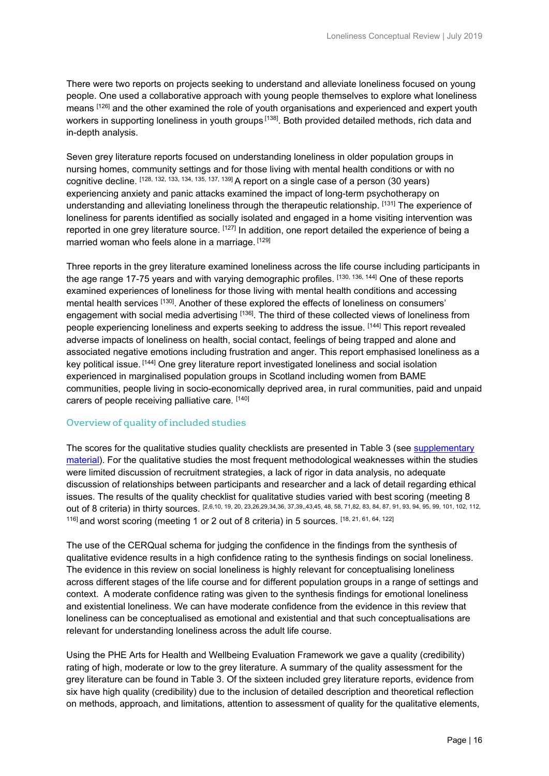There were two reports on projects seeking to understand and alleviate loneliness focused on young people. One used a collaborative approach with young people themselves to explore what loneliness means [126] and the other examined the role of youth organisations and experienced and expert youth workers in supporting loneliness in youth groups [138]. Both provided detailed methods, rich data and in-depth analysis.

Seven grey literature reports focused on understanding loneliness in older population groups in nursing homes, community settings and for those living with mental health conditions or with no cognitive decline. [128, 132, 133, 134, 135, 137, 139] A report on a single case of a person (30 years) experiencing anxiety and panic attacks examined the impact of long-term psychotherapy on understanding and alleviating loneliness through the therapeutic relationship. [131] The experience of loneliness for parents identified as socially isolated and engaged in a home visiting intervention was reported in one grey literature source. [127] In addition, one report detailed the experience of being a married woman who feels alone in a marriage. [129]

Three reports in the grey literature examined loneliness across the life course including participants in the age range 17-75 years and with varying demographic profiles. [130, 136, 144] One of these reports examined experiences of loneliness for those living with mental health conditions and accessing mental health services [130]. Another of these explored the effects of loneliness on consumers' engagement with social media advertising [136]. The third of these collected views of loneliness from people experiencing loneliness and experts seeking to address the issue. [144] This report revealed adverse impacts of loneliness on health, social contact, feelings of being trapped and alone and associated negative emotions including frustration and anger. This report emphasised loneliness as a key political issue. [144] One grey literature report investigated loneliness and social isolation experienced in marginalised population groups in Scotland including women from BAME communities, people living in socio-economically deprived area, in rural communities, paid and unpaid carers of people receiving palliative care. [140]

#### Overview of quality of included studies

The scores for the qualitative studies quality checklists are presented in Table 3 (see [supplementary](https://whatworkswellbeing.org/wp-content/uploads/2018/11/FINAL-loneliness-conceptual-review-appendix.pdf)  [material\)](https://whatworkswellbeing.org/wp-content/uploads/2018/11/FINAL-loneliness-conceptual-review-appendix.pdf). For the qualitative studies the most frequent methodological weaknesses within the studies were limited discussion of recruitment strategies, a lack of rigor in data analysis, no adequate discussion of relationships between participants and researcher and a lack of detail regarding ethical issues. The results of the quality checklist for qualitative studies varied with best scoring (meeting 8 out of 8 criteria) in thirty sources. [2,6,10, 19, 20, 23,26,29,34,36, 37,39, 43,45, 48, 58, 71,82, 83, 84, 87, 91, 93, 94, 95, 99, 101, 102, 112, 116] and worst scoring (meeting 1 or 2 out of 8 criteria) in 5 sources. [18, 21, 61, 64, 122]

The use of the CERQual schema for judging the confidence in the findings from the synthesis of qualitative evidence results in a high confidence rating to the synthesis findings on social loneliness. The evidence in this review on social loneliness is highly relevant for conceptualising loneliness across different stages of the life course and for different population groups in a range of settings and context. A moderate confidence rating was given to the synthesis findings for emotional loneliness and existential loneliness. We can have moderate confidence from the evidence in this review that loneliness can be conceptualised as emotional and existential and that such conceptualisations are relevant for understanding loneliness across the adult life course.

Using the PHE Arts for Health and Wellbeing Evaluation Framework we gave a quality (credibility) rating of high, moderate or low to the grey literature. A summary of the quality assessment for the grey literature can be found in Table 3. Of the sixteen included grey literature reports, evidence from six have high quality (credibility) due to the inclusion of detailed description and theoretical reflection on methods, approach, and limitations, attention to assessment of quality for the qualitative elements,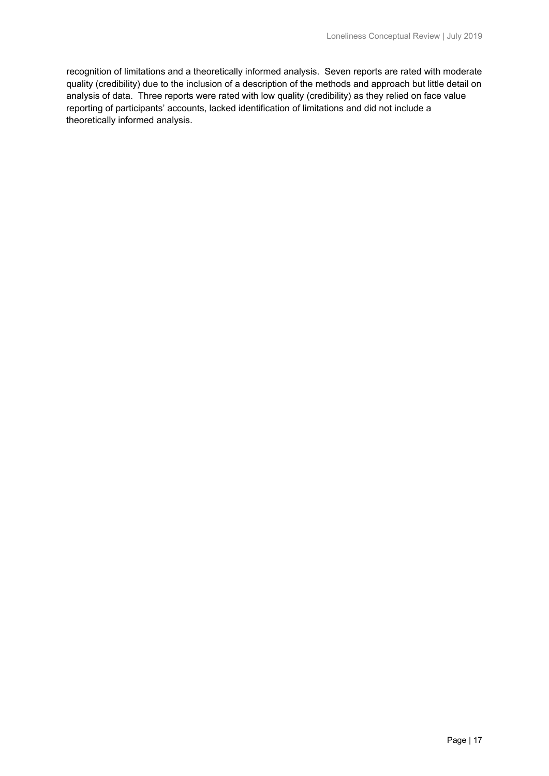recognition of limitations and a theoretically informed analysis. Seven reports are rated with moderate quality (credibility) due to the inclusion of a description of the methods and approach but little detail on analysis of data. Three reports were rated with low quality (credibility) as they relied on face value reporting of participants' accounts, lacked identification of limitations and did not include a theoretically informed analysis.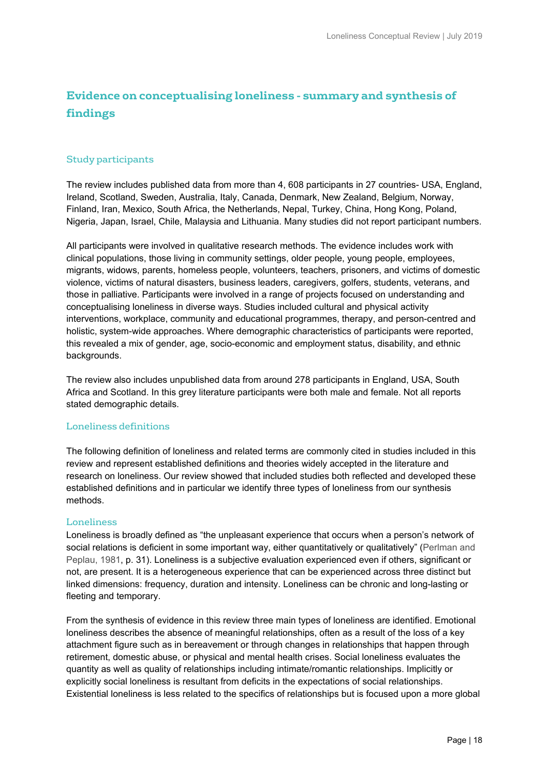# **Evidence on conceptualising loneliness - summary and synthesis of findings**

#### Study participants

The review includes published data from more than 4, 608 participants in 27 countries- USA, England, Ireland, Scotland, Sweden, Australia, Italy, Canada, Denmark, New Zealand, Belgium, Norway, Finland, Iran, Mexico, South Africa, the Netherlands, Nepal, Turkey, China, Hong Kong, Poland, Nigeria, Japan, Israel, Chile, Malaysia and Lithuania. Many studies did not report participant numbers.

All participants were involved in qualitative research methods. The evidence includes work with clinical populations, those living in community settings, older people, young people, employees, migrants, widows, parents, homeless people, volunteers, teachers, prisoners, and victims of domestic violence, victims of natural disasters, business leaders, caregivers, golfers, students, veterans, and those in palliative. Participants were involved in a range of projects focused on understanding and conceptualising loneliness in diverse ways. Studies included cultural and physical activity interventions, workplace, community and educational programmes, therapy, and person-centred and holistic, system-wide approaches. Where demographic characteristics of participants were reported, this revealed a mix of gender, age, socio-economic and employment status, disability, and ethnic backgrounds.

The review also includes unpublished data from around 278 participants in England, USA, South Africa and Scotland. In this grey literature participants were both male and female. Not all reports stated demographic details.

#### Loneliness definitions

The following definition of loneliness and related terms are commonly cited in studies included in this review and represent established definitions and theories widely accepted in the literature and research on loneliness. Our review showed that included studies both reflected and developed these established definitions and in particular we identify three types of loneliness from our synthesis methods.

#### Loneliness

Loneliness is broadly defined as "the unpleasant experience that occurs when a person's network of social relations is deficient in some important way, either quantitatively or qualitatively" (Perlman and Peplau, 1981, p. 31). Loneliness is a subjective evaluation experienced even if others, significant or not, are present. It is a heterogeneous experience that can be experienced across three distinct but linked dimensions: frequency, duration and intensity. Loneliness can be chronic and long-lasting or fleeting and temporary.

From the synthesis of evidence in this review three main types of loneliness are identified. Emotional loneliness describes the absence of meaningful relationships, often as a result of the loss of a key attachment figure such as in bereavement or through changes in relationships that happen through retirement, domestic abuse, or physical and mental health crises. Social loneliness evaluates the quantity as well as quality of relationships including intimate/romantic relationships. Implicitly or explicitly social loneliness is resultant from deficits in the expectations of social relationships. Existential loneliness is less related to the specifics of relationships but is focused upon a more global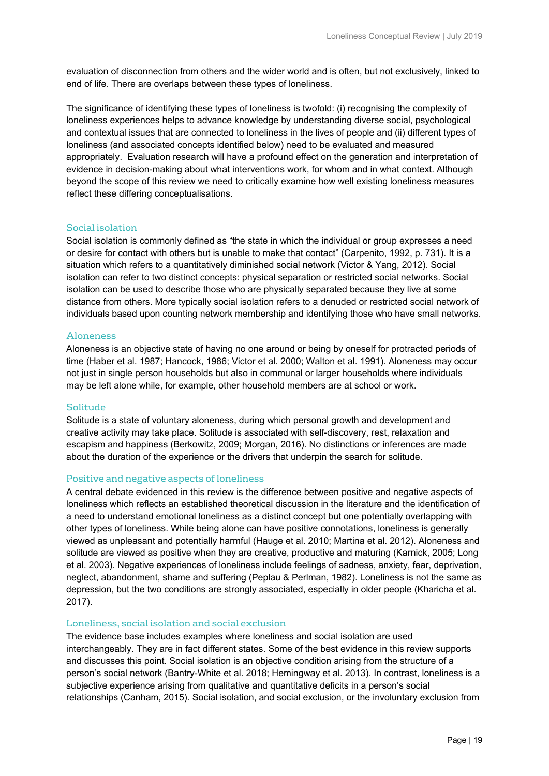evaluation of disconnection from others and the wider world and is often, but not exclusively, linked to end of life. There are overlaps between these types of loneliness.

The significance of identifying these types of loneliness is twofold: (i) recognising the complexity of loneliness experiences helps to advance knowledge by understanding diverse social, psychological and contextual issues that are connected to loneliness in the lives of people and (ii) different types of loneliness (and associated concepts identified below) need to be evaluated and measured appropriately. Evaluation research will have a profound effect on the generation and interpretation of evidence in decision-making about what interventions work, for whom and in what context. Although beyond the scope of this review we need to critically examine how well existing loneliness measures reflect these differing conceptualisations.

#### Social isolation

Social isolation is commonly defined as "the state in which the individual or group expresses a need or desire for contact with others but is unable to make that contact" (Carpenito, 1992, p. 731). It is a situation which refers to a quantitatively diminished social network (Victor & Yang, 2012). Social isolation can refer to two distinct concepts: physical separation or restricted social networks. Social isolation can be used to describe those who are physically separated because they live at some distance from others. More typically social isolation refers to a denuded or restricted social network of individuals based upon counting network membership and identifying those who have small networks.

#### Aloneness

Aloneness is an objective state of having no one around or being by oneself for protracted periods of time (Haber et al. 1987; Hancock, 1986; Victor et al. 2000; Walton et al. 1991). Aloneness may occur not just in single person households but also in communal or larger households where individuals may be left alone while, for example, other household members are at school or work.

#### Solitude

Solitude is a state of voluntary aloneness, during which personal growth and development and creative activity may take place. Solitude is associated with self-discovery, rest, relaxation and escapism and happiness (Berkowitz, 2009; Morgan, 2016). No distinctions or inferences are made about the duration of the experience or the drivers that underpin the search for solitude.

#### Positive and negative aspects of loneliness

A central debate evidenced in this review is the difference between positive and negative aspects of loneliness which reflects an established theoretical discussion in the literature and the identification of a need to understand emotional loneliness as a distinct concept but one potentially overlapping with other types of loneliness. While being alone can have positive connotations, loneliness is generally viewed as unpleasant and potentially harmful (Hauge et al. 2010; Martina et al. 2012). Aloneness and solitude are viewed as positive when they are creative, productive and maturing (Karnick, 2005; Long et al. 2003). Negative experiences of loneliness include feelings of sadness, anxiety, fear, deprivation, neglect, abandonment, shame and suffering (Peplau & Perlman, 1982). Loneliness is not the same as depression, but the two conditions are strongly associated, especially in older people (Kharicha et al. 2017).

#### Loneliness, social isolation and social exclusion

The evidence base includes examples where loneliness and social isolation are used interchangeably. They are in fact different states. Some of the best evidence in this review supports and discusses this point. Social isolation is an objective condition arising from the structure of a person's social network (Bantry-White et al. 2018; Hemingway et al. 2013). In contrast, loneliness is a subjective experience arising from qualitative and quantitative deficits in a person's social relationships (Canham, 2015). Social isolation, and social exclusion, or the involuntary exclusion from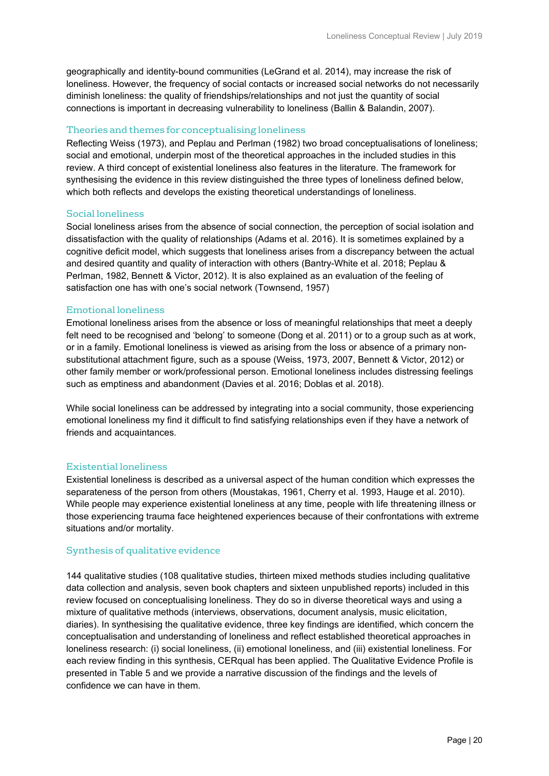geographically and identity-bound communities (LeGrand et al. 2014), may increase the risk of loneliness. However, the frequency of social contacts or increased social networks do not necessarily diminish loneliness: the quality of friendships/relationships and not just the quantity of social connections is important in decreasing vulnerability to loneliness (Ballin & Balandin, 2007).

#### Theories and themes for conceptualising loneliness

Reflecting Weiss (1973), and Peplau and Perlman (1982) two broad conceptualisations of loneliness; social and emotional, underpin most of the theoretical approaches in the included studies in this review. A third concept of existential loneliness also features in the literature. The framework for synthesising the evidence in this review distinguished the three types of loneliness defined below, which both reflects and develops the existing theoretical understandings of loneliness.

#### Social loneliness

Social loneliness arises from the absence of social connection, the perception of social isolation and dissatisfaction with the quality of relationships (Adams et al. 2016). It is sometimes explained by a cognitive deficit model, which suggests that loneliness arises from a discrepancy between the actual and desired quantity and quality of interaction with others (Bantry-White et al. 2018; Peplau & Perlman, 1982, Bennett & Victor, 2012). It is also explained as an evaluation of the feeling of satisfaction one has with one's social network (Townsend, 1957)

#### Emotional loneliness

Emotional loneliness arises from the absence or loss of meaningful relationships that meet a deeply felt need to be recognised and 'belong' to someone (Dong et al. 2011) or to a group such as at work, or in a family. Emotional loneliness is viewed as arising from the loss or absence of a primary nonsubstitutional attachment figure, such as a spouse (Weiss, 1973, 2007, Bennett & Victor, 2012) or other family member or work/professional person. Emotional loneliness includes distressing feelings such as emptiness and abandonment (Davies et al. 2016; Doblas et al. 2018).

While social loneliness can be addressed by integrating into a social community, those experiencing emotional loneliness my find it difficult to find satisfying relationships even if they have a network of friends and acquaintances.

#### Existential loneliness

Existential loneliness is described as a universal aspect of the human condition which expresses the separateness of the person from others (Moustakas, 1961, Cherry et al. 1993, Hauge et al. 2010). While people may experience existential loneliness at any time, people with life threatening illness or those experiencing trauma face heightened experiences because of their confrontations with extreme situations and/or mortality.

#### Synthesis of qualitative evidence

144 qualitative studies (108 qualitative studies, thirteen mixed methods studies including qualitative data collection and analysis, seven book chapters and sixteen unpublished reports) included in this review focused on conceptualising loneliness. They do so in diverse theoretical ways and using a mixture of qualitative methods (interviews, observations, document analysis, music elicitation, diaries). In synthesising the qualitative evidence, three key findings are identified, which concern the conceptualisation and understanding of loneliness and reflect established theoretical approaches in loneliness research: (i) social loneliness, (ii) emotional loneliness, and (iii) existential loneliness. For each review finding in this synthesis, CERqual has been applied. The Qualitative Evidence Profile is presented in Table 5 and we provide a narrative discussion of the findings and the levels of confidence we can have in them.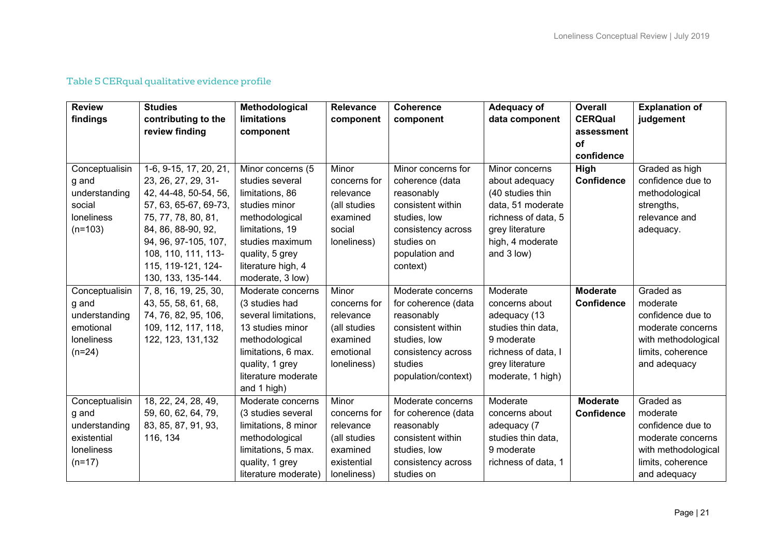| <b>Review</b>  | <b>Studies</b>         | Methodological       | <b>Relevance</b> | <b>Coherence</b>    | Adequacy of         | <b>Overall</b>    | <b>Explanation of</b> |
|----------------|------------------------|----------------------|------------------|---------------------|---------------------|-------------------|-----------------------|
| findings       | contributing to the    | limitations          | component        | component           | data component      | <b>CERQual</b>    | judgement             |
|                | review finding         | component            |                  |                     |                     | assessment        |                       |
|                |                        |                      |                  |                     |                     | <b>of</b>         |                       |
|                |                        |                      |                  |                     |                     | confidence        |                       |
| Conceptualisin | 1-6, 9-15, 17, 20, 21, | Minor concerns (5    | Minor            | Minor concerns for  | Minor concerns      | High              | Graded as high        |
| g and          | 23, 26, 27, 29, 31-    | studies several      | concerns for     | coherence (data     | about adequacy      | <b>Confidence</b> | confidence due to     |
| understanding  | 42, 44-48, 50-54, 56,  | limitations, 86      | relevance        | reasonably          | (40 studies thin    |                   | methodological        |
| social         | 57, 63, 65-67, 69-73,  | studies minor        | (all studies     | consistent within   | data, 51 moderate   |                   | strengths,            |
| loneliness     | 75, 77, 78, 80, 81,    | methodological       | examined         | studies, low        | richness of data, 5 |                   | relevance and         |
| $(n=103)$      | 84, 86, 88-90, 92,     | limitations, 19      | social           | consistency across  | grey literature     |                   | adequacy.             |
|                | 94, 96, 97-105, 107,   | studies maximum      | loneliness)      | studies on          | high, 4 moderate    |                   |                       |
|                | 108, 110, 111, 113-    | quality, 5 grey      |                  | population and      | and 3 low)          |                   |                       |
|                | 115, 119-121, 124-     | literature high, 4   |                  | context)            |                     |                   |                       |
|                | 130, 133, 135-144.     | moderate, 3 low)     |                  |                     |                     |                   |                       |
| Conceptualisin | 7, 8, 16, 19, 25, 30,  | Moderate concerns    | Minor            | Moderate concerns   | Moderate            | <b>Moderate</b>   | Graded as             |
| g and          | 43, 55, 58, 61, 68,    | (3 studies had       | concerns for     | for coherence (data | concerns about      | Confidence        | moderate              |
| understanding  | 74, 76, 82, 95, 106,   | several limitations. | relevance        | reasonably          | adequacy (13        |                   | confidence due to     |
| emotional      | 109, 112, 117, 118,    | 13 studies minor     | (all studies     | consistent within   | studies thin data.  |                   | moderate concerns     |
| loneliness     | 122, 123, 131, 132     | methodological       | examined         | studies, low        | 9 moderate          |                   | with methodological   |
| $(n=24)$       |                        | limitations, 6 max.  | emotional        | consistency across  | richness of data, I |                   | limits, coherence     |
|                |                        | quality, 1 grey      | loneliness)      | studies             | grey literature     |                   | and adequacy          |
|                |                        | literature moderate  |                  | population/context) | moderate, 1 high)   |                   |                       |
|                |                        | and 1 high)          |                  |                     |                     |                   |                       |
| Conceptualisin | 18, 22, 24, 28, 49,    | Moderate concerns    | Minor            | Moderate concerns   | Moderate            | <b>Moderate</b>   | Graded as             |
| g and          | 59, 60, 62, 64, 79,    | (3 studies several   | concerns for     | for coherence (data | concerns about      | <b>Confidence</b> | moderate              |
| understanding  | 83, 85, 87, 91, 93,    | limitations, 8 minor | relevance        | reasonably          | adequacy (7         |                   | confidence due to     |
| existential    | 116, 134               | methodological       | (all studies     | consistent within   | studies thin data,  |                   | moderate concerns     |
| loneliness     |                        | limitations, 5 max.  | examined         | studies, low        | 9 moderate          |                   | with methodological   |
| $(n=17)$       |                        | quality, 1 grey      | existential      | consistency across  | richness of data, 1 |                   | limits, coherence     |
|                |                        | literature moderate) | loneliness)      | studies on          |                     |                   | and adequacy          |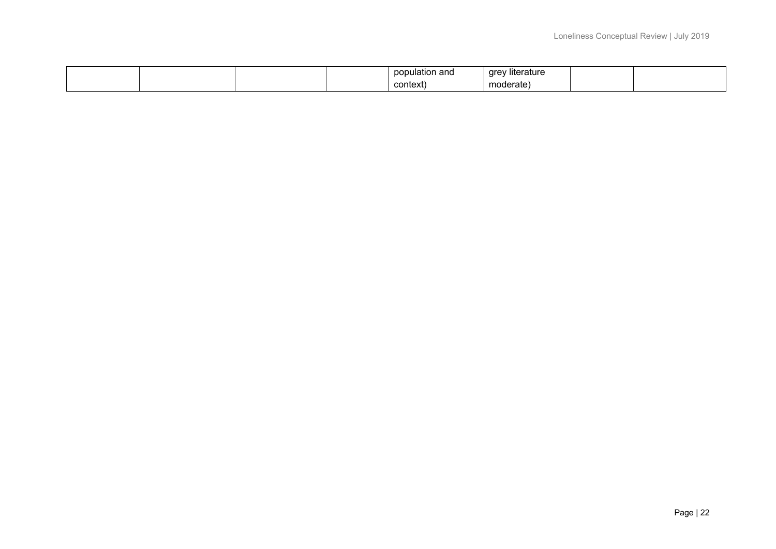|  |  | population and | <br>√ literature<br>grey |  |
|--|--|----------------|--------------------------|--|
|  |  | context        | moderate                 |  |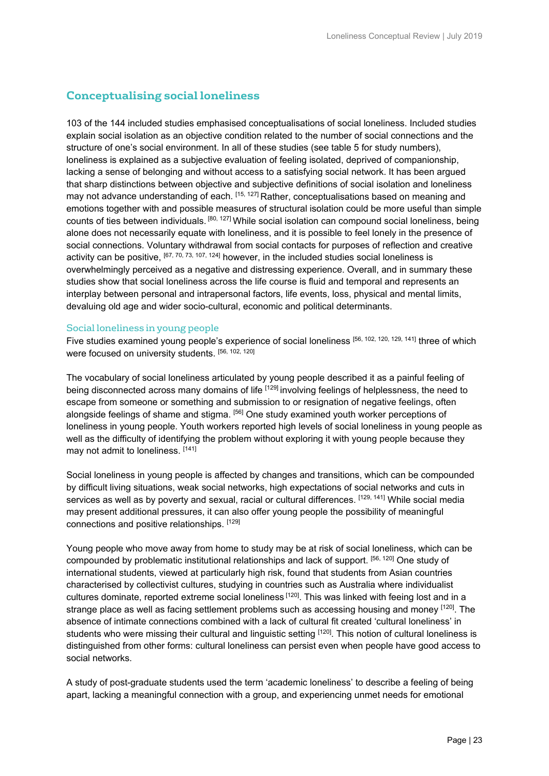# **Conceptualising social loneliness**

103 of the 144 included studies emphasised conceptualisations of social loneliness. Included studies explain social isolation as an objective condition related to the number of social connections and the structure of one's social environment. In all of these studies (see table 5 for study numbers), loneliness is explained as a subjective evaluation of feeling isolated, deprived of companionship, lacking a sense of belonging and without access to a satisfying social network. It has been argued that sharp distinctions between objective and subjective definitions of social isolation and loneliness may not advance understanding of each. [15, 127] Rather, conceptualisations based on meaning and emotions together with and possible measures of structural isolation could be more useful than simple counts of ties between individuals. [80, 127] While social isolation can compound social loneliness, being alone does not necessarily equate with loneliness, and it is possible to feel lonely in the presence of social connections. Voluntary withdrawal from social contacts for purposes of reflection and creative activity can be positive, [67, 70, 73, 107, 124] however, in the included studies social loneliness is overwhelmingly perceived as a negative and distressing experience. Overall, and in summary these studies show that social loneliness across the life course is fluid and temporal and represents an interplay between personal and intrapersonal factors, life events, loss, physical and mental limits, devaluing old age and wider socio-cultural, economic and political determinants.

#### Social loneliness in young people

Five studies examined young people's experience of social loneliness [56, 102, 120, 129, 141] three of which were focused on university students. [56, 102, 120]

The vocabulary of social loneliness articulated by young people described it as a painful feeling of being disconnected across many domains of life [129] involving feelings of helplessness, the need to escape from someone or something and submission to or resignation of negative feelings, often alongside feelings of shame and stigma. [56] One study examined youth worker perceptions of loneliness in young people. Youth workers reported high levels of social loneliness in young people as well as the difficulty of identifying the problem without exploring it with young people because they may not admit to loneliness. [141]

Social loneliness in young people is affected by changes and transitions, which can be compounded by difficult living situations, weak social networks, high expectations of social networks and cuts in services as well as by poverty and sexual, racial or cultural differences. [129, 141] While social media may present additional pressures, it can also offer young people the possibility of meaningful connections and positive relationships. [129]

Young people who move away from home to study may be at risk of social loneliness, which can be compounded by problematic institutional relationships and lack of support. [56, 120] One study of international students, viewed at particularly high risk, found that students from Asian countries characterised by collectivist cultures, studying in countries such as Australia where individualist cultures dominate, reported extreme social loneliness [120]. This was linked with feeing lost and in a strange place as well as facing settlement problems such as accessing housing and money [120]. The absence of intimate connections combined with a lack of cultural fit created 'cultural loneliness' in students who were missing their cultural and linguistic setting [120]. This notion of cultural loneliness is distinguished from other forms: cultural loneliness can persist even when people have good access to social networks.

A study of post-graduate students used the term 'academic loneliness' to describe a feeling of being apart, lacking a meaningful connection with a group, and experiencing unmet needs for emotional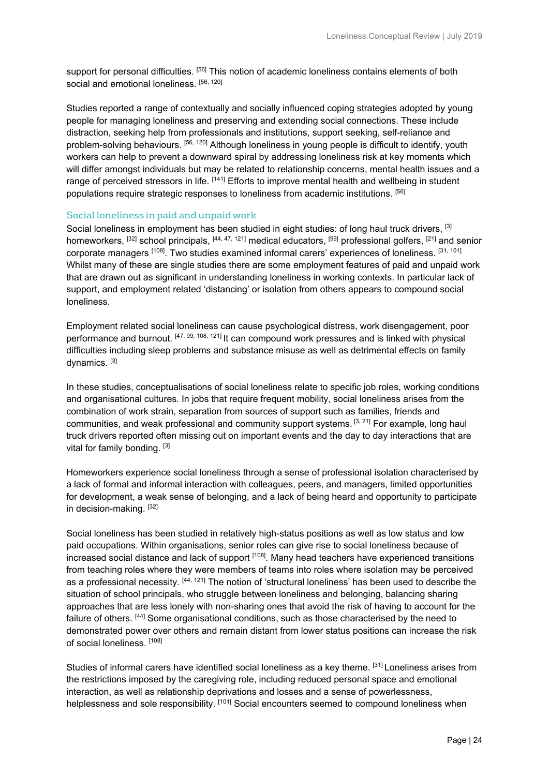support for personal difficulties. <sup>[56]</sup> This notion of academic loneliness contains elements of both social and emotional loneliness. [56, 120]

Studies reported a range of contextually and socially influenced coping strategies adopted by young people for managing loneliness and preserving and extending social connections. These include distraction, seeking help from professionals and institutions, support seeking, self-reliance and problem-solving behaviours. [56, 120] Although loneliness in young people is difficult to identify, youth workers can help to prevent a downward spiral by addressing loneliness risk at key moments which will differ amongst individuals but may be related to relationship concerns, mental health issues and a range of perceived stressors in life. [141] Efforts to improve mental health and wellbeing in student populations require strategic responses to loneliness from academic institutions. [56]

#### Social loneliness in paid and unpaid work

Social loneliness in employment has been studied in eight studies: of long haul truck drivers, [3] homeworkers, [32] school principals, [44, 47, 121] medical educators, [99] professional golfers, [21] and senior corporate managers [108]. Two studies examined informal carers' experiences of loneliness. [31, 101] Whilst many of these are single studies there are some employment features of paid and unpaid work that are drawn out as significant in understanding loneliness in working contexts. In particular lack of support, and employment related 'distancing' or isolation from others appears to compound social loneliness.

Employment related social loneliness can cause psychological distress, work disengagement, poor performance and burnout. [47, 99, 108, 121] It can compound work pressures and is linked with physical difficulties including sleep problems and substance misuse as well as detrimental effects on family dynamics. [3]

In these studies, conceptualisations of social loneliness relate to specific job roles, working conditions and organisational cultures. In jobs that require frequent mobility, social loneliness arises from the combination of work strain, separation from sources of support such as families, friends and communities, and weak professional and community support systems. [3, 21] For example, long haul truck drivers reported often missing out on important events and the day to day interactions that are vital for family bonding. [3]

Homeworkers experience social loneliness through a sense of professional isolation characterised by a lack of formal and informal interaction with colleagues, peers, and managers, limited opportunities for development, a weak sense of belonging, and a lack of being heard and opportunity to participate in decision-making. [32]

Social loneliness has been studied in relatively high-status positions as well as low status and low paid occupations. Within organisations, senior roles can give rise to social loneliness because of increased social distance and lack of support [108]. Many head teachers have experienced transitions from teaching roles where they were members of teams into roles where isolation may be perceived as a professional necessity. [44, 121] The notion of 'structural loneliness' has been used to describe the situation of school principals, who struggle between loneliness and belonging, balancing sharing approaches that are less lonely with non-sharing ones that avoid the risk of having to account for the failure of others. [44] Some organisational conditions, such as those characterised by the need to demonstrated power over others and remain distant from lower status positions can increase the risk of social loneliness. [108]

Studies of informal carers have identified social loneliness as a key theme. [31] Loneliness arises from the restrictions imposed by the caregiving role, including reduced personal space and emotional interaction, as well as relationship deprivations and losses and a sense of powerlessness, helplessness and sole responsibility. [101] Social encounters seemed to compound loneliness when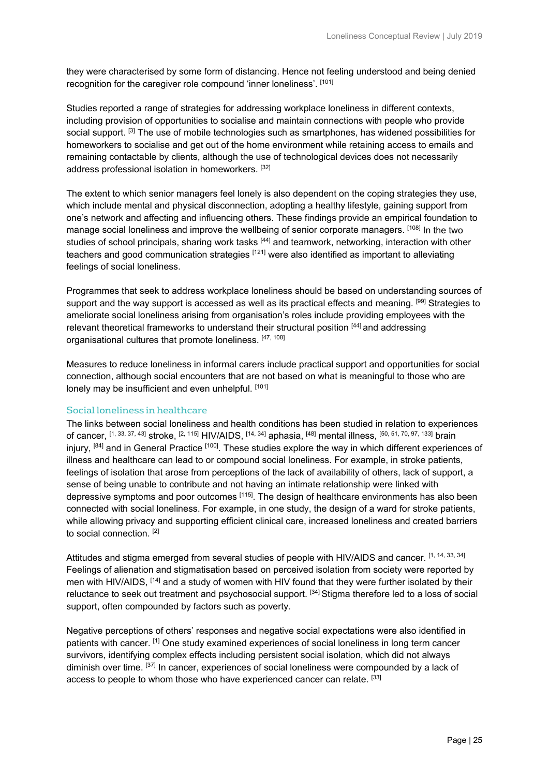they were characterised by some form of distancing. Hence not feeling understood and being denied recognition for the caregiver role compound 'inner loneliness'. [101]

Studies reported a range of strategies for addressing workplace loneliness in different contexts, including provision of opportunities to socialise and maintain connections with people who provide social support. [3] The use of mobile technologies such as smartphones, has widened possibilities for homeworkers to socialise and get out of the home environment while retaining access to emails and remaining contactable by clients, although the use of technological devices does not necessarily address professional isolation in homeworkers. [32]

The extent to which senior managers feel lonely is also dependent on the coping strategies they use, which include mental and physical disconnection, adopting a healthy lifestyle, gaining support from one's network and affecting and influencing others. These findings provide an empirical foundation to manage social loneliness and improve the wellbeing of senior corporate managers. [108] In the two studies of school principals, sharing work tasks [44] and teamwork, networking, interaction with other teachers and good communication strategies [121] were also identified as important to alleviating feelings of social loneliness.

Programmes that seek to address workplace loneliness should be based on understanding sources of support and the way support is accessed as well as its practical effects and meaning. [99] Strategies to ameliorate social loneliness arising from organisation's roles include providing employees with the relevant theoretical frameworks to understand their structural position [44] and addressing organisational cultures that promote loneliness. [47, 108]

Measures to reduce loneliness in informal carers include practical support and opportunities for social connection, although social encounters that are not based on what is meaningful to those who are lonely may be insufficient and even unhelpful. [101]

#### Social loneliness in healthcare

The links between social loneliness and health conditions has been studied in relation to experiences of cancer, [1, 33, 37, 43] stroke, [2, 115] HIV/AIDS, [14, 34] aphasia, [48] mental illness, [50, 51, 70, 97, 133] brain injury, [84] and in General Practice [100]. These studies explore the way in which different experiences of illness and healthcare can lead to or compound social loneliness. For example, in stroke patients, feelings of isolation that arose from perceptions of the lack of availability of others, lack of support, a sense of being unable to contribute and not having an intimate relationship were linked with depressive symptoms and poor outcomes [115]. The design of healthcare environments has also been connected with social loneliness. For example, in one study, the design of a ward for stroke patients, while allowing privacy and supporting efficient clinical care, increased loneliness and created barriers to social connection. [2]

Attitudes and stigma emerged from several studies of people with HIV/AIDS and cancer. [1, 14, 33, 34] Feelings of alienation and stigmatisation based on perceived isolation from society were reported by men with HIV/AIDS, [14] and a study of women with HIV found that they were further isolated by their reluctance to seek out treatment and psychosocial support. [34] Stigma therefore led to a loss of social support, often compounded by factors such as poverty.

Negative perceptions of others' responses and negative social expectations were also identified in patients with cancer. [1] One study examined experiences of social loneliness in long term cancer survivors, identifying complex effects including persistent social isolation, which did not always diminish over time. [37] In cancer, experiences of social loneliness were compounded by a lack of access to people to whom those who have experienced cancer can relate. [33]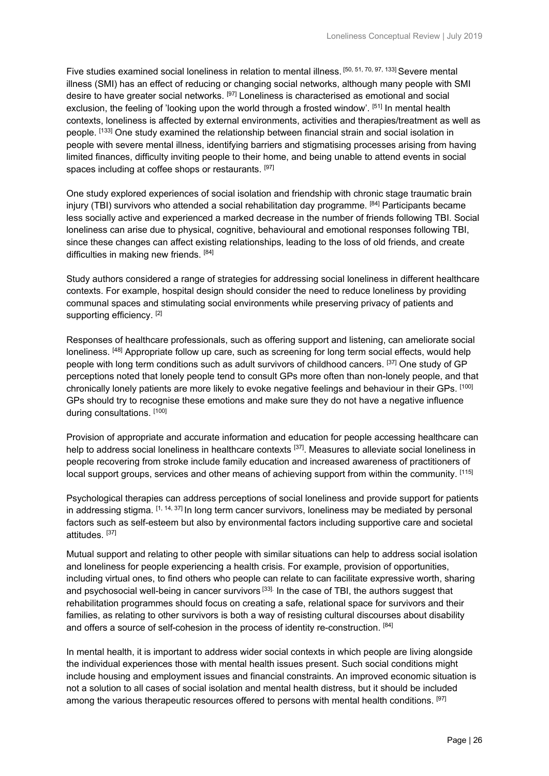Five studies examined social loneliness in relation to mental illness. [50, 51, 70, 97, 133] Severe mental illness (SMI) has an effect of reducing or changing social networks, although many people with SMI desire to have greater social networks. [97] Loneliness is characterised as emotional and social exclusion, the feeling of 'looking upon the world through a frosted window'. [51] In mental health contexts, loneliness is affected by external environments, activities and therapies/treatment as well as people. [133] One study examined the relationship between financial strain and social isolation in people with severe mental illness, identifying barriers and stigmatising processes arising from having limited finances, difficulty inviting people to their home, and being unable to attend events in social spaces including at coffee shops or restaurants. [97]

One study explored experiences of social isolation and friendship with chronic stage traumatic brain injury (TBI) survivors who attended a social rehabilitation day programme.  $[84]$  Participants became less socially active and experienced a marked decrease in the number of friends following TBI. Social loneliness can arise due to physical, cognitive, behavioural and emotional responses following TBI, since these changes can affect existing relationships, leading to the loss of old friends, and create difficulties in making new friends. [84]

Study authors considered a range of strategies for addressing social loneliness in different healthcare contexts. For example, hospital design should consider the need to reduce loneliness by providing communal spaces and stimulating social environments while preserving privacy of patients and supporting efficiency. [2]

Responses of healthcare professionals, such as offering support and listening, can ameliorate social loneliness. <sup>[48]</sup> Appropriate follow up care, such as screening for long term social effects, would help people with long term conditions such as adult survivors of childhood cancers. [37] One study of GP perceptions noted that lonely people tend to consult GPs more often than non-lonely people, and that chronically lonely patients are more likely to evoke negative feelings and behaviour in their GPs. [100] GPs should try to recognise these emotions and make sure they do not have a negative influence during consultations. [100]

Provision of appropriate and accurate information and education for people accessing healthcare can help to address social loneliness in healthcare contexts [37]. Measures to alleviate social loneliness in people recovering from stroke include family education and increased awareness of practitioners of local support groups, services and other means of achieving support from within the community. [115]

Psychological therapies can address perceptions of social loneliness and provide support for patients in addressing stigma.  $[1, 14, 37]$  In long term cancer survivors, loneliness may be mediated by personal factors such as self-esteem but also by environmental factors including supportive care and societal attitudes. [37]

Mutual support and relating to other people with similar situations can help to address social isolation and loneliness for people experiencing a health crisis. For example, provision of opportunities, including virtual ones, to find others who people can relate to can facilitate expressive worth, sharing and psychosocial well-being in cancer survivors<sup>[33].</sup> In the case of TBI, the authors suggest that rehabilitation programmes should focus on creating a safe, relational space for survivors and their families, as relating to other survivors is both a way of resisting cultural discourses about disability and offers a source of self-cohesion in the process of identity re-construction. [84]

In mental health, it is important to address wider social contexts in which people are living alongside the individual experiences those with mental health issues present. Such social conditions might include housing and employment issues and financial constraints. An improved economic situation is not a solution to all cases of social isolation and mental health distress, but it should be included among the various therapeutic resources offered to persons with mental health conditions. [97]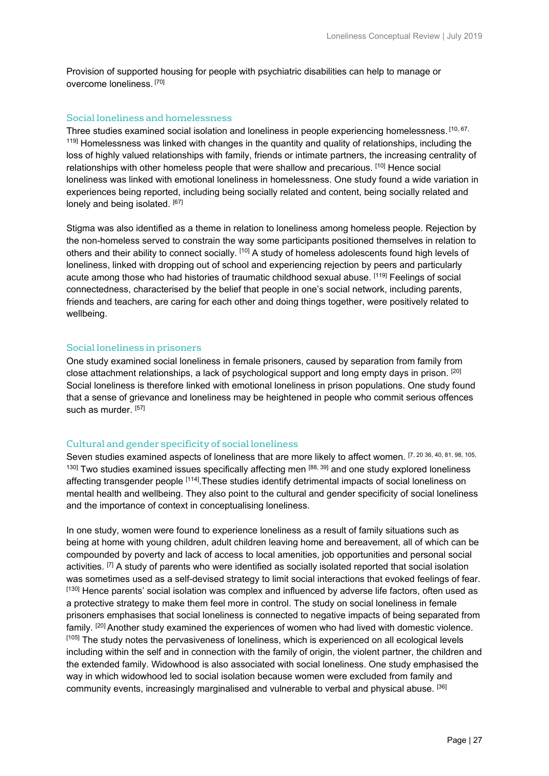Provision of supported housing for people with psychiatric disabilities can help to manage or overcome loneliness. [70]

#### Social loneliness and homelessness

Three studies examined social isolation and loneliness in people experiencing homelessness. [10, 67, <sup>119]</sup> Homelessness was linked with changes in the quantity and quality of relationships, including the loss of highly valued relationships with family, friends or intimate partners, the increasing centrality of relationships with other homeless people that were shallow and precarious. [10] Hence social loneliness was linked with emotional loneliness in homelessness. One study found a wide variation in experiences being reported, including being socially related and content, being socially related and lonely and being isolated. [67]

Stigma was also identified as a theme in relation to loneliness among homeless people. Rejection by the non-homeless served to constrain the way some participants positioned themselves in relation to others and their ability to connect socially. [10] A study of homeless adolescents found high levels of loneliness, linked with dropping out of school and experiencing rejection by peers and particularly acute among those who had histories of traumatic childhood sexual abuse. [119] Feelings of social connectedness, characterised by the belief that people in one's social network, including parents, friends and teachers, are caring for each other and doing things together, were positively related to wellbeing.

#### Social loneliness in prisoners

One study examined social loneliness in female prisoners, caused by separation from family from close attachment relationships, a lack of psychological support and long empty days in prison. [20] Social loneliness is therefore linked with emotional loneliness in prison populations. One study found that a sense of grievance and loneliness may be heightened in people who commit serious offences such as murder. [57]

#### Cultural and gender specificity of social loneliness

Seven studies examined aspects of loneliness that are more likely to affect women. [7, 20 36, 40, 81, 98, 105,  $130$ ] Two studies examined issues specifically affecting men  $[88, 39]$  and one study explored loneliness affecting transgender people [114]. These studies identify detrimental impacts of social loneliness on mental health and wellbeing. They also point to the cultural and gender specificity of social loneliness and the importance of context in conceptualising loneliness.

In one study, women were found to experience loneliness as a result of family situations such as being at home with young children, adult children leaving home and bereavement, all of which can be compounded by poverty and lack of access to local amenities, job opportunities and personal social activities. <sup>[7]</sup> A study of parents who were identified as socially isolated reported that social isolation was sometimes used as a self-devised strategy to limit social interactions that evoked feelings of fear. [130] Hence parents' social isolation was complex and influenced by adverse life factors, often used as a protective strategy to make them feel more in control. The study on social loneliness in female prisoners emphasises that social loneliness is connected to negative impacts of being separated from family. <sup>[20]</sup> Another study examined the experiences of women who had lived with domestic violence. [105] The study notes the pervasiveness of loneliness, which is experienced on all ecological levels including within the self and in connection with the family of origin, the violent partner, the children and the extended family. Widowhood is also associated with social loneliness. One study emphasised the way in which widowhood led to social isolation because women were excluded from family and community events, increasingly marginalised and vulnerable to verbal and physical abuse. [36]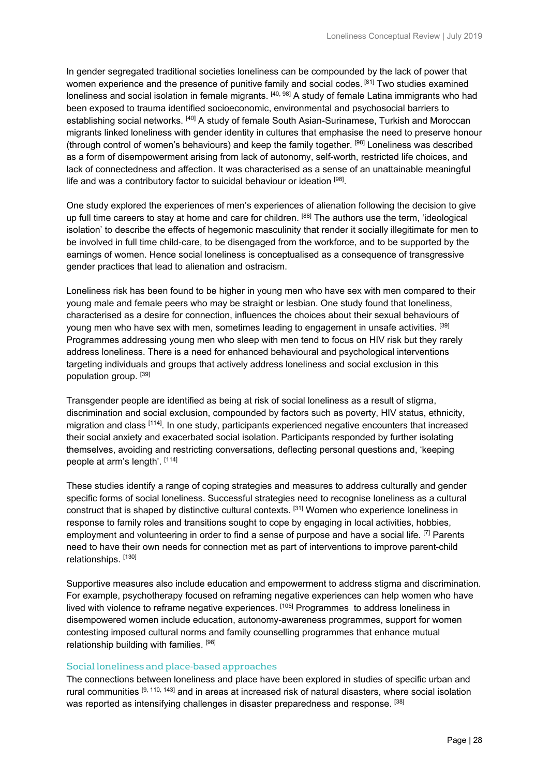In gender segregated traditional societies loneliness can be compounded by the lack of power that women experience and the presence of punitive family and social codes. [81] Two studies examined loneliness and social isolation in female migrants. [40, 98] A study of female Latina immigrants who had been exposed to trauma identified socioeconomic, environmental and psychosocial barriers to establishing social networks. [40] A study of female South Asian-Surinamese, Turkish and Moroccan migrants linked loneliness with gender identity in cultures that emphasise the need to preserve honour (through control of women's behaviours) and keep the family together. [98] Loneliness was described as a form of disempowerment arising from lack of autonomy, self-worth, restricted life choices, and lack of connectedness and affection. It was characterised as a sense of an unattainable meaningful life and was a contributory factor to suicidal behaviour or ideation [98].

One study explored the experiences of men's experiences of alienation following the decision to give up full time careers to stay at home and care for children. [88] The authors use the term, 'ideological isolation' to describe the effects of hegemonic masculinity that render it socially illegitimate for men to be involved in full time child-care, to be disengaged from the workforce, and to be supported by the earnings of women. Hence social loneliness is conceptualised as a consequence of transgressive gender practices that lead to alienation and ostracism.

Loneliness risk has been found to be higher in young men who have sex with men compared to their young male and female peers who may be straight or lesbian. One study found that loneliness, characterised as a desire for connection, influences the choices about their sexual behaviours of young men who have sex with men, sometimes leading to engagement in unsafe activities. [39] Programmes addressing young men who sleep with men tend to focus on HIV risk but they rarely address loneliness. There is a need for enhanced behavioural and psychological interventions targeting individuals and groups that actively address loneliness and social exclusion in this population group. [39]

Transgender people are identified as being at risk of social loneliness as a result of stigma, discrimination and social exclusion, compounded by factors such as poverty, HIV status, ethnicity, migration and class [114]. In one study, participants experienced negative encounters that increased their social anxiety and exacerbated social isolation. Participants responded by further isolating themselves, avoiding and restricting conversations, deflecting personal questions and, 'keeping people at arm's length'. [114]

These studies identify a range of coping strategies and measures to address culturally and gender specific forms of social loneliness. Successful strategies need to recognise loneliness as a cultural construct that is shaped by distinctive cultural contexts. [31] Women who experience loneliness in response to family roles and transitions sought to cope by engaging in local activities, hobbies, employment and volunteering in order to find a sense of purpose and have a social life. <sup>[7]</sup> Parents need to have their own needs for connection met as part of interventions to improve parent-child relationships. [130]

Supportive measures also include education and empowerment to address stigma and discrimination. For example, psychotherapy focused on reframing negative experiences can help women who have lived with violence to reframe negative experiences. [105] Programmes to address loneliness in disempowered women include education, autonomy-awareness programmes, support for women contesting imposed cultural norms and family counselling programmes that enhance mutual relationship building with families. [98]

#### Social loneliness and place-based approaches

The connections between loneliness and place have been explored in studies of specific urban and rural communities [9, 110, 143] and in areas at increased risk of natural disasters, where social isolation was reported as intensifying challenges in disaster preparedness and response. [38]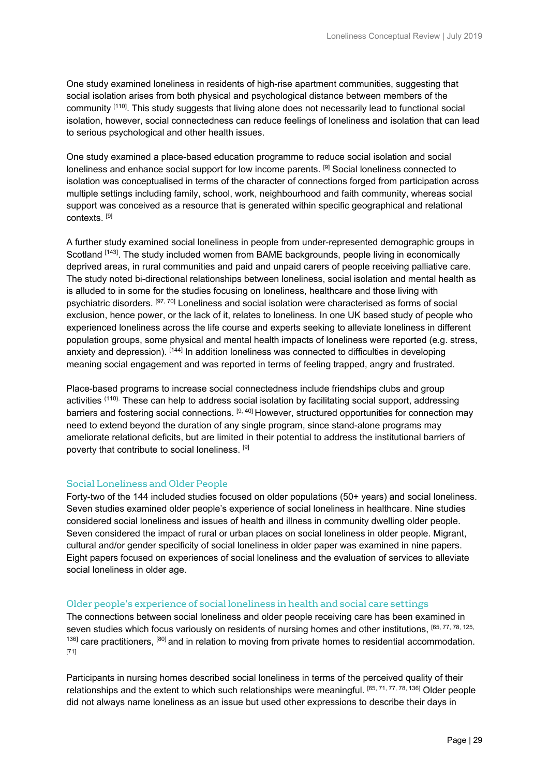One study examined loneliness in residents of high-rise apartment communities, suggesting that social isolation arises from both physical and psychological distance between members of the community [110]. This study suggests that living alone does not necessarily lead to functional social isolation, however, social connectedness can reduce feelings of loneliness and isolation that can lead to serious psychological and other health issues.

One study examined a place-based education programme to reduce social isolation and social loneliness and enhance social support for low income parents. <sup>[9]</sup> Social loneliness connected to isolation was conceptualised in terms of the character of connections forged from participation across multiple settings including family, school, work, neighbourhood and faith community, whereas social support was conceived as a resource that is generated within specific geographical and relational contexts. [9]

A further study examined social loneliness in people from under-represented demographic groups in Scotland [143]. The study included women from BAME backgrounds, people living in economically deprived areas, in rural communities and paid and unpaid carers of people receiving palliative care. The study noted bi-directional relationships between loneliness, social isolation and mental health as is alluded to in some for the studies focusing on loneliness, healthcare and those living with psychiatric disorders. [97, 70] Loneliness and social isolation were characterised as forms of social exclusion, hence power, or the lack of it, relates to loneliness. In one UK based study of people who experienced loneliness across the life course and experts seeking to alleviate loneliness in different population groups, some physical and mental health impacts of loneliness were reported (e.g. stress, anxiety and depression). [144] In addition loneliness was connected to difficulties in developing meaning social engagement and was reported in terms of feeling trapped, angry and frustrated.

Place-based programs to increase social connectedness include friendships clubs and group activities <sup>(110).</sup> These can help to address social isolation by facilitating social support, addressing barriers and fostering social connections. [9, 40] However, structured opportunities for connection may need to extend beyond the duration of any single program, since stand-alone programs may ameliorate relational deficits, but are limited in their potential to address the institutional barriers of poverty that contribute to social loneliness. [9]

#### Social Loneliness and Older People

Forty-two of the 144 included studies focused on older populations (50+ years) and social loneliness. Seven studies examined older people's experience of social loneliness in healthcare. Nine studies considered social loneliness and issues of health and illness in community dwelling older people. Seven considered the impact of rural or urban places on social loneliness in older people. Migrant, cultural and/or gender specificity of social loneliness in older paper was examined in nine papers. Eight papers focused on experiences of social loneliness and the evaluation of services to alleviate social loneliness in older age.

#### Older people's experience of social loneliness in health and social care settings

The connections between social loneliness and older people receiving care has been examined in seven studies which focus variously on residents of nursing homes and other institutions, [65, 77, 78, 125, 136] care practitioners, [80] and in relation to moving from private homes to residential accommodation. [71]

Participants in nursing homes described social loneliness in terms of the perceived quality of their relationships and the extent to which such relationships were meaningful. [65, 71, 77, 78, 136] Older people did not always name loneliness as an issue but used other expressions to describe their days in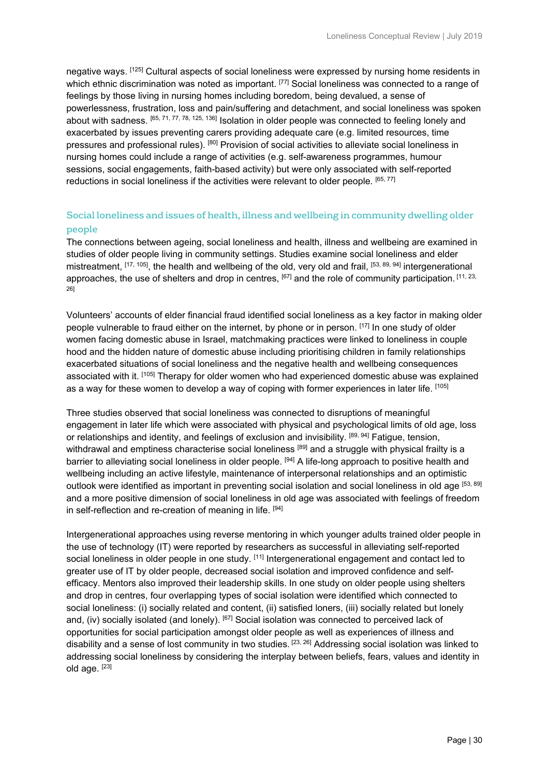negative ways. [125] Cultural aspects of social loneliness were expressed by nursing home residents in which ethnic discrimination was noted as important. [77] Social loneliness was connected to a range of feelings by those living in nursing homes including boredom, being devalued, a sense of powerlessness, frustration, loss and pain/suffering and detachment, and social loneliness was spoken about with sadness. [65, 71, 77, 78, 125, 136] Isolation in older people was connected to feeling lonely and exacerbated by issues preventing carers providing adequate care (e.g. limited resources, time pressures and professional rules). [80] Provision of social activities to alleviate social loneliness in nursing homes could include a range of activities (e.g. self-awareness programmes, humour sessions, social engagements, faith-based activity) but were only associated with self-reported reductions in social loneliness if the activities were relevant to older people. [65, 77]

#### Social loneliness and issues of health, illness and wellbeing in community dwelling older people

The connections between ageing, social loneliness and health, illness and wellbeing are examined in studies of older people living in community settings. Studies examine social loneliness and elder mistreatment, [17, 105], the health and wellbeing of the old, very old and frail, [53, 89, 94] intergenerational approaches, the use of shelters and drop in centres,  $[67]$  and the role of community participation.  $[11, 23, 12]$ 26]

Volunteers' accounts of elder financial fraud identified social loneliness as a key factor in making older people vulnerable to fraud either on the internet, by phone or in person. [17] In one study of older women facing domestic abuse in Israel, matchmaking practices were linked to loneliness in couple hood and the hidden nature of domestic abuse including prioritising children in family relationships exacerbated situations of social loneliness and the negative health and wellbeing consequences associated with it. [105] Therapy for older women who had experienced domestic abuse was explained as a way for these women to develop a way of coping with former experiences in later life. [105]

Three studies observed that social loneliness was connected to disruptions of meaningful engagement in later life which were associated with physical and psychological limits of old age, loss or relationships and identity, and feelings of exclusion and invisibility. [89, 94] Fatigue, tension, withdrawal and emptiness characterise social loneliness [89] and a struggle with physical frailty is a barrier to alleviating social loneliness in older people. [94] A life-long approach to positive health and wellbeing including an active lifestyle, maintenance of interpersonal relationships and an optimistic outlook were identified as important in preventing social isolation and social loneliness in old age [53, 89] and a more positive dimension of social loneliness in old age was associated with feelings of freedom in self-reflection and re-creation of meaning in life. [94]

Intergenerational approaches using reverse mentoring in which younger adults trained older people in the use of technology (IT) were reported by researchers as successful in alleviating self-reported social loneliness in older people in one study. [11] Intergenerational engagement and contact led to greater use of IT by older people, decreased social isolation and improved confidence and selfefficacy. Mentors also improved their leadership skills. In one study on older people using shelters and drop in centres, four overlapping types of social isolation were identified which connected to social loneliness: (i) socially related and content, (ii) satisfied loners, (iii) socially related but lonely and, (iv) socially isolated (and lonely). [67] Social isolation was connected to perceived lack of opportunities for social participation amongst older people as well as experiences of illness and disability and a sense of lost community in two studies. [23, 26] Addressing social isolation was linked to addressing social loneliness by considering the interplay between beliefs, fears, values and identity in old age. [23]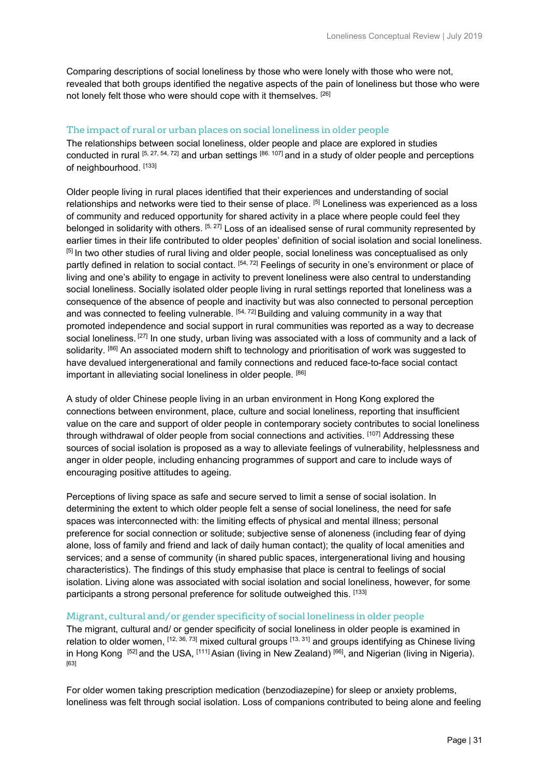Comparing descriptions of social loneliness by those who were lonely with those who were not, revealed that both groups identified the negative aspects of the pain of loneliness but those who were not lonely felt those who were should cope with it themselves. [26]

#### The impact of rural or urban places on social loneliness in older people

The relationships between social loneliness, older people and place are explored in studies conducted in rural [5, 27, 54, 72] and urban settings [86. 107] and in a study of older people and perceptions of neighbourhood. [133]

Older people living in rural places identified that their experiences and understanding of social relationships and networks were tied to their sense of place. [5] Loneliness was experienced as a loss of community and reduced opportunity for shared activity in a place where people could feel they belonged in solidarity with others. <sup>[5, 27]</sup> Loss of an idealised sense of rural community represented by earlier times in their life contributed to older peoples' definition of social isolation and social loneliness. [5] In two other studies of rural living and older people, social loneliness was conceptualised as only partly defined in relation to social contact. [54, 72] Feelings of security in one's environment or place of living and one's ability to engage in activity to prevent loneliness were also central to understanding social loneliness. Socially isolated older people living in rural settings reported that loneliness was a consequence of the absence of people and inactivity but was also connected to personal perception and was connected to feeling vulnerable. [54, 72] Building and valuing community in a way that promoted independence and social support in rural communities was reported as a way to decrease social loneliness. <sup>[27]</sup> In one study, urban living was associated with a loss of community and a lack of solidarity. [86] An associated modern shift to technology and prioritisation of work was suggested to have devalued intergenerational and family connections and reduced face-to-face social contact important in alleviating social loneliness in older people. [86]

A study of older Chinese people living in an urban environment in Hong Kong explored the connections between environment, place, culture and social loneliness, reporting that insufficient value on the care and support of older people in contemporary society contributes to social loneliness through withdrawal of older people from social connections and activities. [107] Addressing these sources of social isolation is proposed as a way to alleviate feelings of vulnerability, helplessness and anger in older people, including enhancing programmes of support and care to include ways of encouraging positive attitudes to ageing.

Perceptions of living space as safe and secure served to limit a sense of social isolation. In determining the extent to which older people felt a sense of social loneliness, the need for safe spaces was interconnected with: the limiting effects of physical and mental illness; personal preference for social connection or solitude; subjective sense of aloneness (including fear of dying alone, loss of family and friend and lack of daily human contact); the quality of local amenities and services; and a sense of community (in shared public spaces, intergenerational living and housing characteristics). The findings of this study emphasise that place is central to feelings of social isolation. Living alone was associated with social isolation and social loneliness, however, for some participants a strong personal preference for solitude outweighed this. [133]

#### Migrant, cultural and/or gender specificity of social loneliness in older people

The migrant, cultural and/ or gender specificity of social loneliness in older people is examined in relation to older women, [12, 36, 73] mixed cultural groups [13, 31] and groups identifying as Chinese living in Hong Kong [52] and the USA, [111] Asian (living in New Zealand) [66], and Nigerian (living in Nigeria). [63]

For older women taking prescription medication (benzodiazepine) for sleep or anxiety problems, loneliness was felt through social isolation. Loss of companions contributed to being alone and feeling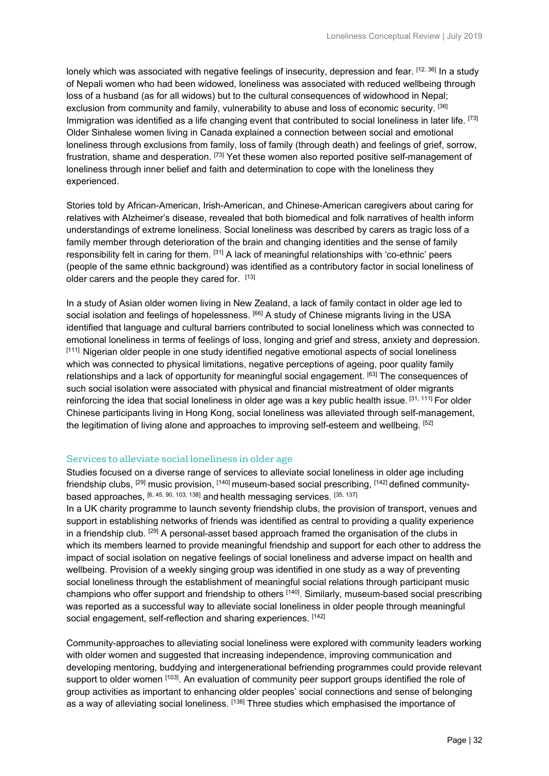lonely which was associated with negative feelings of insecurity, depression and fear. [12, 36] In a study of Nepali women who had been widowed, loneliness was associated with reduced wellbeing through loss of a husband (as for all widows) but to the cultural consequences of widowhood in Nepal; exclusion from community and family, vulnerability to abuse and loss of economic security. <sup>[36]</sup> Immigration was identified as a life changing event that contributed to social loneliness in later life. [73] Older Sinhalese women living in Canada explained a connection between social and emotional loneliness through exclusions from family, loss of family (through death) and feelings of grief, sorrow, frustration, shame and desperation. <sup>[73]</sup> Yet these women also reported positive self-management of loneliness through inner belief and faith and determination to cope with the loneliness they experienced.

Stories told by African-American, Irish-American, and Chinese-American caregivers about caring for relatives with Alzheimer's disease, revealed that both biomedical and folk narratives of health inform understandings of extreme loneliness. Social loneliness was described by carers as tragic loss of a family member through deterioration of the brain and changing identities and the sense of family responsibility felt in caring for them. [31] A lack of meaningful relationships with 'co-ethnic' peers (people of the same ethnic background) was identified as a contributory factor in social loneliness of older carers and the people they cared for. [13]

In a study of Asian older women living in New Zealand, a lack of family contact in older age led to social isolation and feelings of hopelessness. <sup>[66]</sup> A study of Chinese migrants living in the USA identified that language and cultural barriers contributed to social loneliness which was connected to emotional loneliness in terms of feelings of loss, longing and grief and stress, anxiety and depression. [111] Nigerian older people in one study identified negative emotional aspects of social loneliness which was connected to physical limitations, negative perceptions of ageing, poor quality family relationships and a lack of opportunity for meaningful social engagement. [63] The consequences of such social isolation were associated with physical and financial mistreatment of older migrants reinforcing the idea that social loneliness in older age was a key public health issue. [31, 111] For older Chinese participants living in Hong Kong, social loneliness was alleviated through self-management, the legitimation of living alone and approaches to improving self-esteem and wellbeing. [52]

#### Services to alleviate social loneliness in older age

Studies focused on a diverse range of services to alleviate social loneliness in older age including friendship clubs, <sup>[29]</sup> music provision, <sup>[140]</sup> museum-based social prescribing, <sup>[142]</sup> defined communitybased approaches, [6, 45, 90, 103, 138] and health messaging services. [35, 137]

In a UK charity programme to launch seventy friendship clubs, the provision of transport, venues and support in establishing networks of friends was identified as central to providing a quality experience in a friendship club.  $[29]$  A personal-asset based approach framed the organisation of the clubs in which its members learned to provide meaningful friendship and support for each other to address the impact of social isolation on negative feelings of social loneliness and adverse impact on health and wellbeing. Provision of a weekly singing group was identified in one study as a way of preventing social loneliness through the establishment of meaningful social relations through participant music champions who offer support and friendship to others [140]. Similarly, museum-based social prescribing was reported as a successful way to alleviate social loneliness in older people through meaningful social engagement, self-reflection and sharing experiences. [142]

Community-approaches to alleviating social loneliness were explored with community leaders working with older women and suggested that increasing independence, improving communication and developing mentoring, buddying and intergenerational befriending programmes could provide relevant support to older women [103]. An evaluation of community peer support groups identified the role of group activities as important to enhancing older peoples' social connections and sense of belonging as a way of alleviating social loneliness. [138] Three studies which emphasised the importance of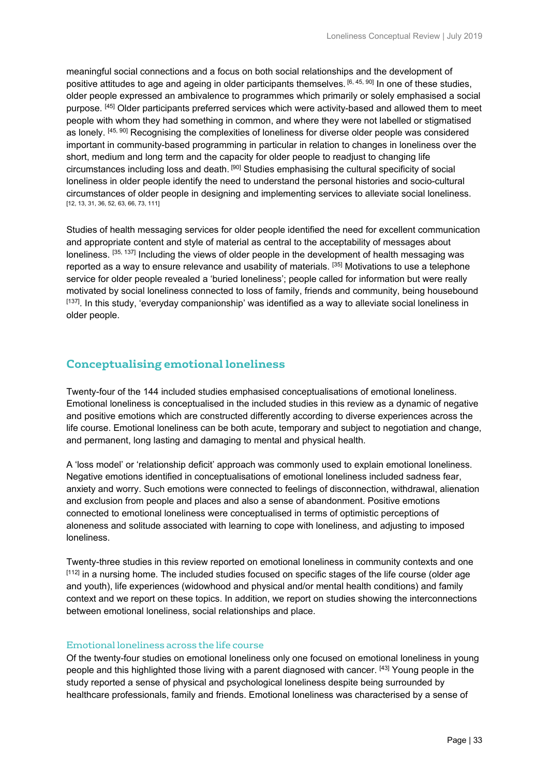meaningful social connections and a focus on both social relationships and the development of positive attitudes to age and ageing in older participants themselves. [6, 45, 90] In one of these studies, older people expressed an ambivalence to programmes which primarily or solely emphasised a social purpose. [45] Older participants preferred services which were activity-based and allowed them to meet people with whom they had something in common, and where they were not labelled or stigmatised as lonely. [45, 90] Recognising the complexities of loneliness for diverse older people was considered important in community-based programming in particular in relation to changes in loneliness over the short, medium and long term and the capacity for older people to readjust to changing life circumstances including loss and death. [90] Studies emphasising the cultural specificity of social loneliness in older people identify the need to understand the personal histories and socio-cultural circumstances of older people in designing and implementing services to alleviate social loneliness. [12, 13, 31, 36, 52, 63, 66, 73, 111]

Studies of health messaging services for older people identified the need for excellent communication and appropriate content and style of material as central to the acceptability of messages about loneliness. [35, 137] Including the views of older people in the development of health messaging was reported as a way to ensure relevance and usability of materials. [35] Motivations to use a telephone service for older people revealed a 'buried loneliness'; people called for information but were really motivated by social loneliness connected to loss of family, friends and community, being housebound [137]. In this study, 'everyday companionship' was identified as a way to alleviate social loneliness in older people.

# **Conceptualising emotional loneliness**

Twenty-four of the 144 included studies emphasised conceptualisations of emotional loneliness. Emotional loneliness is conceptualised in the included studies in this review as a dynamic of negative and positive emotions which are constructed differently according to diverse experiences across the life course. Emotional loneliness can be both acute, temporary and subject to negotiation and change, and permanent, long lasting and damaging to mental and physical health.

A 'loss model' or 'relationship deficit' approach was commonly used to explain emotional loneliness. Negative emotions identified in conceptualisations of emotional loneliness included sadness fear, anxiety and worry. Such emotions were connected to feelings of disconnection, withdrawal, alienation and exclusion from people and places and also a sense of abandonment. Positive emotions connected to emotional loneliness were conceptualised in terms of optimistic perceptions of aloneness and solitude associated with learning to cope with loneliness, and adjusting to imposed loneliness.

Twenty-three studies in this review reported on emotional loneliness in community contexts and one [112] in a nursing home. The included studies focused on specific stages of the life course (older age and youth), life experiences (widowhood and physical and/or mental health conditions) and family context and we report on these topics. In addition, we report on studies showing the interconnections between emotional loneliness, social relationships and place.

#### Emotional loneliness across the life course

Of the twenty-four studies on emotional loneliness only one focused on emotional loneliness in young people and this highlighted those living with a parent diagnosed with cancer. [43] Young people in the study reported a sense of physical and psychological loneliness despite being surrounded by healthcare professionals, family and friends. Emotional loneliness was characterised by a sense of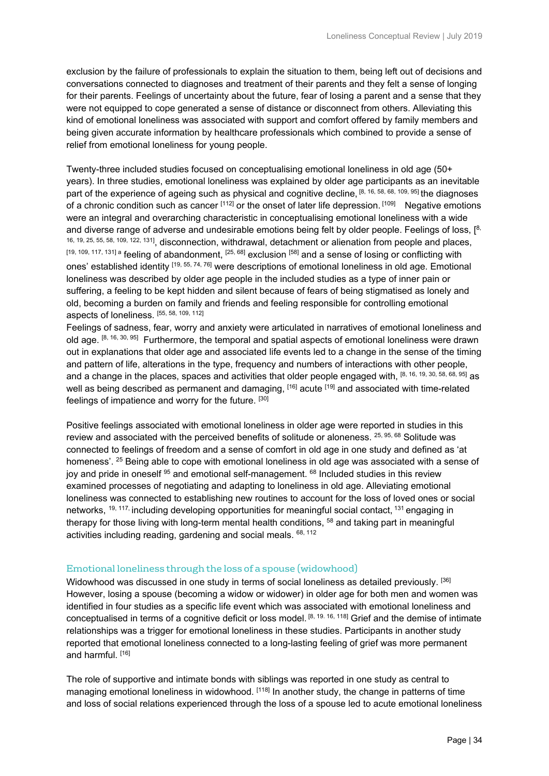exclusion by the failure of professionals to explain the situation to them, being left out of decisions and conversations connected to diagnoses and treatment of their parents and they felt a sense of longing for their parents. Feelings of uncertainty about the future, fear of losing a parent and a sense that they were not equipped to cope generated a sense of distance or disconnect from others. Alleviating this kind of emotional loneliness was associated with support and comfort offered by family members and being given accurate information by healthcare professionals which combined to provide a sense of relief from emotional loneliness for young people.

Twenty-three included studies focused on conceptualising emotional loneliness in old age (50+ years). In three studies, emotional loneliness was explained by older age participants as an inevitable part of the experience of ageing such as physical and cognitive decline, [8, 16, 58, 68, 109, 95] the diagnoses of a chronic condition such as cancer [112] or the onset of later life depression. [109] Negative emotions were an integral and overarching characteristic in conceptualising emotional loneliness with a wide and diverse range of adverse and undesirable emotions being felt by older people. Feelings of loss, [8, 16, 19, 25, 55, 58, 109, 122, 131], disconnection, withdrawal, detachment or alienation from people and places, [19, 109, 117, 131] a feeling of abandonment, [25, 68] exclusion [58] and a sense of losing or conflicting with ones' established identity [19, 55, 74, 76] were descriptions of emotional loneliness in old age. Emotional loneliness was described by older age people in the included studies as a type of inner pain or suffering, a feeling to be kept hidden and silent because of fears of being stigmatised as lonely and old, becoming a burden on family and friends and feeling responsible for controlling emotional aspects of loneliness. [55, 58, 109, 112]

Feelings of sadness, fear, worry and anxiety were articulated in narratives of emotional loneliness and old age.  $[8, 16, 30, 95]$  Furthermore, the temporal and spatial aspects of emotional loneliness were drawn out in explanations that older age and associated life events led to a change in the sense of the timing and pattern of life, alterations in the type, frequency and numbers of interactions with other people, and a change in the places, spaces and activities that older people engaged with, [8, 16, 19, 30, 58, 68, 95] as well as being described as permanent and damaging, [16] acute [19] and associated with time-related feelings of impatience and worry for the future. [30]

Positive feelings associated with emotional loneliness in older age were reported in studies in this review and associated with the perceived benefits of solitude or aloneness. <sup>25, 95, 68</sup> Solitude was connected to feelings of freedom and a sense of comfort in old age in one study and defined as 'at homeness'. <sup>25</sup> Being able to cope with emotional loneliness in old age was associated with a sense of joy and pride in oneself  $95$  and emotional self-management.  $68$  Included studies in this review examined processes of negotiating and adapting to loneliness in old age. Alleviating emotional loneliness was connected to establishing new routines to account for the loss of loved ones or social networks,  $^{19, 117,}$  including developing opportunities for meaningful social contact,  $^{131}$  engaging in therapy for those living with long-term mental health conditions, <sup>58</sup> and taking part in meaningful activities including reading, gardening and social meals. 68, 112

#### Emotional loneliness through the loss of a spouse (widowhood)

Widowhood was discussed in one study in terms of social loneliness as detailed previously. <sup>[36]</sup> However, losing a spouse (becoming a widow or widower) in older age for both men and women was identified in four studies as a specific life event which was associated with emotional loneliness and conceptualised in terms of a cognitive deficit or loss model. [8, 19. 16, 118] Grief and the demise of intimate relationships was a trigger for emotional loneliness in these studies. Participants in another study reported that emotional loneliness connected to a long-lasting feeling of grief was more permanent and harmful. [16]

The role of supportive and intimate bonds with siblings was reported in one study as central to managing emotional loneliness in widowhood. [118] In another study, the change in patterns of time and loss of social relations experienced through the loss of a spouse led to acute emotional loneliness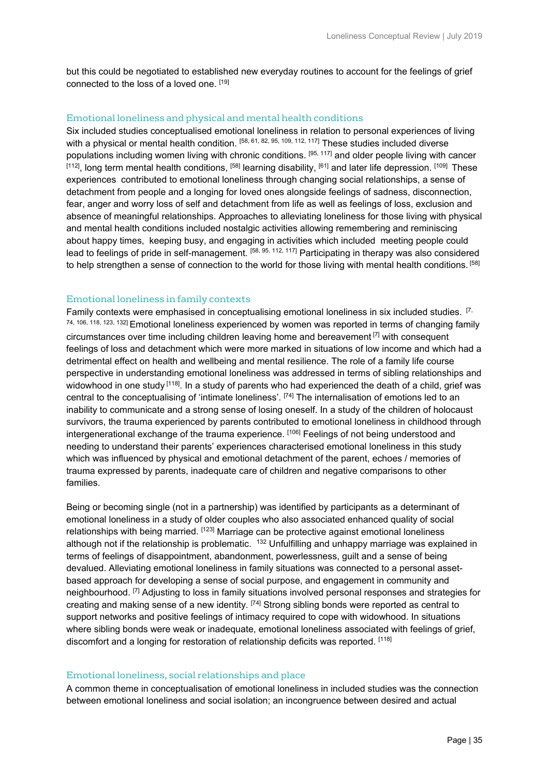but this could be negotiated to established new everyday routines to account for the feelings of grief connected to the loss of a loved one. [19]

#### Emotional loneliness and physical and mental health conditions

Six included studies conceptualised emotional loneliness in relation to personal experiences of living with a physical or mental health condition. [58, 61, 82, 95, 109, 112, 117] These studies included diverse populations including women living with chronic conditions. [95, 117] and older people living with cancer  $[112]$ , long term mental health conditions,  $[58]$  learning disability,  $[61]$  and later life depression.  $[109]$  These experiences contributed to emotional loneliness through changing social relationships, a sense of detachment from people and a longing for loved ones alongside feelings of sadness, disconnection, fear, anger and worry loss of self and detachment from life as well as feelings of loss, exclusion and absence of meaningful relationships. Approaches to alleviating loneliness for those living with physical and mental health conditions included nostalgic activities allowing remembering and reminiscing about happy times, keeping busy, and engaging in activities which included meeting people could lead to feelings of pride in self-management. [58, 95, 112, 117] Participating in therapy was also considered to help strengthen a sense of connection to the world for those living with mental health conditions. [58]

#### Emotional loneliness in family contexts

Family contexts were emphasised in conceptualising emotional loneliness in six included studies. [7, 74, 106, 118, 123, 132] Emotional loneliness experienced by women was reported in terms of changing family circumstances over time including children leaving home and bereavement  $\left[\frac{7}{1}\right]$  with consequent feelings of loss and detachment which were more marked in situations of low income and which had a detrimental effect on health and wellbeing and mental resilience. The role of a family life course perspective in understanding emotional loneliness was addressed in terms of sibling relationships and widowhood in one study [118]. In a study of parents who had experienced the death of a child, grief was central to the conceptualising of 'intimate loneliness'. [74] The internalisation of emotions led to an inability to communicate and a strong sense of losing oneself. In a study of the children of holocaust survivors, the trauma experienced by parents contributed to emotional loneliness in childhood through intergenerational exchange of the trauma experience. [106] Feelings of not being understood and needing to understand their parents' experiences characterised emotional loneliness in this study which was influenced by physical and emotional detachment of the parent, echoes / memories of trauma expressed by parents, inadequate care of children and negative comparisons to other families.

Being or becoming single (not in a partnership) was identified by participants as a determinant of emotional loneliness in a study of older couples who also associated enhanced quality of social relationships with being married. [123] Marriage can be protective against emotional loneliness although not if the relationship is problematic. <sup>132</sup> Unfulfilling and unhappy marriage was explained in terms of feelings of disappointment, abandonment, powerlessness, guilt and a sense of being devalued. Alleviating emotional loneliness in family situations was connected to a personal assetbased approach for developing a sense of social purpose, and engagement in community and neighbourhood. <sup>[7]</sup> Adjusting to loss in family situations involved personal responses and strategies for creating and making sense of a new identity. [74] Strong sibling bonds were reported as central to support networks and positive feelings of intimacy required to cope with widowhood. In situations where sibling bonds were weak or inadequate, emotional loneliness associated with feelings of grief, discomfort and a longing for restoration of relationship deficits was reported. [118]

#### Emotional loneliness, social relationships and place

A common theme in conceptualisation of emotional loneliness in included studies was the connection between emotional loneliness and social isolation; an incongruence between desired and actual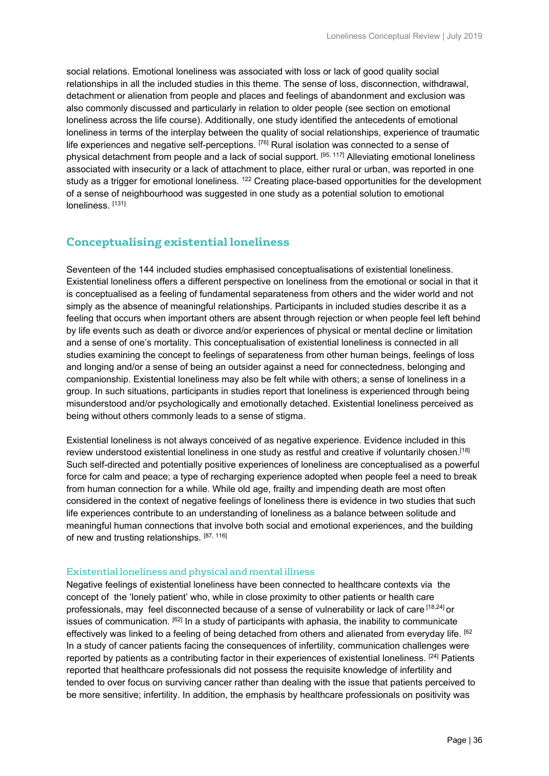social relations. Emotional loneliness was associated with loss or lack of good quality social relationships in all the included studies in this theme. The sense of loss, disconnection, withdrawal, detachment or alienation from people and places and feelings of abandonment and exclusion was also commonly discussed and particularly in relation to older people (see section on emotional loneliness across the life course). Additionally, one study identified the antecedents of emotional loneliness in terms of the interplay between the quality of social relationships, experience of traumatic life experiences and negative self-perceptions.  $[76]$  Rural isolation was connected to a sense of physical detachment from people and a lack of social support. [95, 117] Alleviating emotional loneliness associated with insecurity or a lack of attachment to place, either rural or urban, was reported in one study as a trigger for emotional loneliness. <sup>122</sup> Creating place-based opportunities for the development of a sense of neighbourhood was suggested in one study as a potential solution to emotional loneliness. [131]

# **Conceptualising existential loneliness**

Seventeen of the 144 included studies emphasised conceptualisations of existential loneliness. Existential loneliness offers a different perspective on loneliness from the emotional or social in that it is conceptualised as a feeling of fundamental separateness from others and the wider world and not simply as the absence of meaningful relationships. Participants in included studies describe it as a feeling that occurs when important others are absent through rejection or when people feel left behind by life events such as death or divorce and/or experiences of physical or mental decline or limitation and a sense of one's mortality. This conceptualisation of existential loneliness is connected in all studies examining the concept to feelings of separateness from other human beings, feelings of loss and longing and/or a sense of being an outsider against a need for connectedness, belonging and companionship. Existential loneliness may also be felt while with others; a sense of loneliness in a group. In such situations, participants in studies report that loneliness is experienced through being misunderstood and/or psychologically and emotionally detached. Existential loneliness perceived as being without others commonly leads to a sense of stigma.

Existential loneliness is not always conceived of as negative experience. Evidence included in this review understood existential loneliness in one study as restful and creative if voluntarily chosen.[18] Such self-directed and potentially positive experiences of loneliness are conceptualised as a powerful force for calm and peace; a type of recharging experience adopted when people feel a need to break from human connection for a while. While old age, frailty and impending death are most often considered in the context of negative feelings of loneliness there is evidence in two studies that such life experiences contribute to an understanding of loneliness as a balance between solitude and meaningful human connections that involve both social and emotional experiences, and the building of new and trusting relationships. [87, 116]

#### Existential loneliness and physical and mental illness

Negative feelings of existential loneliness have been connected to healthcare contexts via the concept of the 'lonely patient' who, while in close proximity to other patients or health care professionals, may feel disconnected because of a sense of vulnerability or lack of care [18,24] or issues of communication. [62] In a study of participants with aphasia, the inability to communicate effectively was linked to a feeling of being detached from others and alienated from everyday life. [62] In a study of cancer patients facing the consequences of infertility, communication challenges were reported by patients as a contributing factor in their experiences of existential loneliness. [24] Patients reported that healthcare professionals did not possess the requisite knowledge of infertility and tended to over focus on surviving cancer rather than dealing with the issue that patients perceived to be more sensitive; infertility. In addition, the emphasis by healthcare professionals on positivity was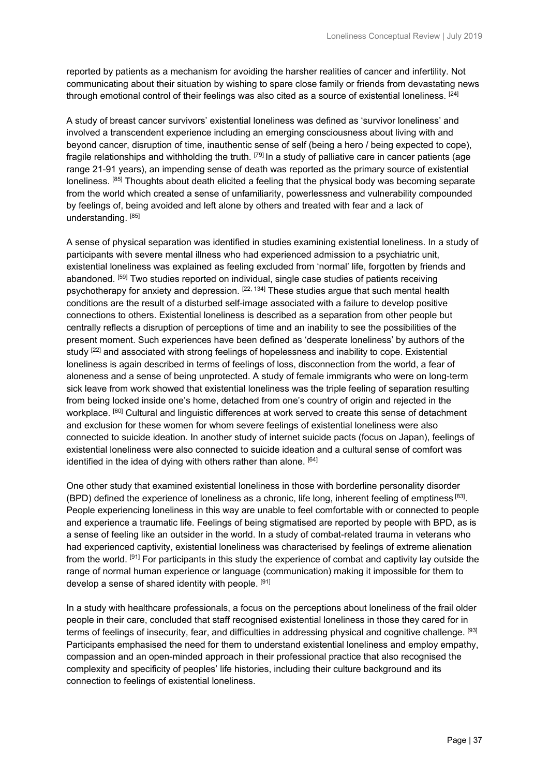reported by patients as a mechanism for avoiding the harsher realities of cancer and infertility. Not communicating about their situation by wishing to spare close family or friends from devastating news through emotional control of their feelings was also cited as a source of existential loneliness. [24]

A study of breast cancer survivors' existential loneliness was defined as 'survivor loneliness' and involved a transcendent experience including an emerging consciousness about living with and beyond cancer, disruption of time, inauthentic sense of self (being a hero / being expected to cope), fragile relationships and withholding the truth. <sup>[79]</sup> In a study of palliative care in cancer patients (age range 21-91 years), an impending sense of death was reported as the primary source of existential loneliness. <sup>[85]</sup> Thoughts about death elicited a feeling that the physical body was becoming separate from the world which created a sense of unfamiliarity, powerlessness and vulnerability compounded by feelings of, being avoided and left alone by others and treated with fear and a lack of understanding. [85]

A sense of physical separation was identified in studies examining existential loneliness. In a study of participants with severe mental illness who had experienced admission to a psychiatric unit, existential loneliness was explained as feeling excluded from 'normal' life, forgotten by friends and abandoned. [59] Two studies reported on individual, single case studies of patients receiving psychotherapy for anxiety and depression. <sup>[22, 134]</sup> These studies argue that such mental health conditions are the result of a disturbed self-image associated with a failure to develop positive connections to others. Existential loneliness is described as a separation from other people but centrally reflects a disruption of perceptions of time and an inability to see the possibilities of the present moment. Such experiences have been defined as 'desperate loneliness' by authors of the study <sup>[22]</sup> and associated with strong feelings of hopelessness and inability to cope. Existential loneliness is again described in terms of feelings of loss, disconnection from the world, a fear of aloneness and a sense of being unprotected. A study of female immigrants who were on long-term sick leave from work showed that existential loneliness was the triple feeling of separation resulting from being locked inside one's home, detached from one's country of origin and rejected in the workplace. <sup>[60]</sup> Cultural and linguistic differences at work served to create this sense of detachment and exclusion for these women for whom severe feelings of existential loneliness were also connected to suicide ideation. In another study of internet suicide pacts (focus on Japan), feelings of existential loneliness were also connected to suicide ideation and a cultural sense of comfort was identified in the idea of dying with others rather than alone.  $[64]$ 

One other study that examined existential loneliness in those with borderline personality disorder (BPD) defined the experience of loneliness as a chronic, life long, inherent feeling of emptiness [83]. People experiencing loneliness in this way are unable to feel comfortable with or connected to people and experience a traumatic life. Feelings of being stigmatised are reported by people with BPD, as is a sense of feeling like an outsider in the world. In a study of combat-related trauma in veterans who had experienced captivity, existential loneliness was characterised by feelings of extreme alienation from the world. [91] For participants in this study the experience of combat and captivity lay outside the range of normal human experience or language (communication) making it impossible for them to develop a sense of shared identity with people. [91]

In a study with healthcare professionals, a focus on the perceptions about loneliness of the frail older people in their care, concluded that staff recognised existential loneliness in those they cared for in terms of feelings of insecurity, fear, and difficulties in addressing physical and cognitive challenge. [93] Participants emphasised the need for them to understand existential loneliness and employ empathy, compassion and an open-minded approach in their professional practice that also recognised the complexity and specificity of peoples' life histories, including their culture background and its connection to feelings of existential loneliness.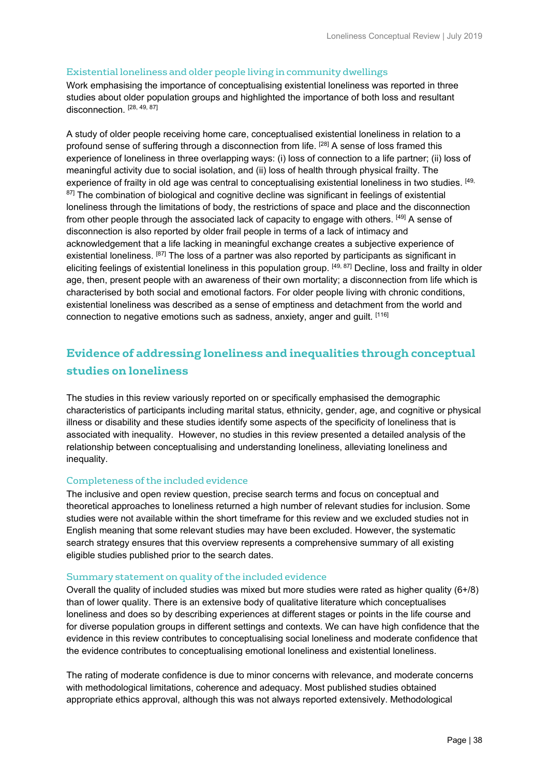#### Existential loneliness and older people living in community dwellings

Work emphasising the importance of conceptualising existential loneliness was reported in three studies about older population groups and highlighted the importance of both loss and resultant disconnection. [28, 49, 87]

A study of older people receiving home care, conceptualised existential loneliness in relation to a profound sense of suffering through a disconnection from life. [28] A sense of loss framed this experience of loneliness in three overlapping ways: (i) loss of connection to a life partner; (ii) loss of meaningful activity due to social isolation, and (ii) loss of health through physical frailty. The experience of frailty in old age was central to conceptualising existential loneliness in two studies. <sup>[49,</sup> <sup>87]</sup> The combination of biological and cognitive decline was significant in feelings of existential loneliness through the limitations of body, the restrictions of space and place and the disconnection from other people through the associated lack of capacity to engage with others. [49] A sense of disconnection is also reported by older frail people in terms of a lack of intimacy and acknowledgement that a life lacking in meaningful exchange creates a subjective experience of existential loneliness. [87] The loss of a partner was also reported by participants as significant in eliciting feelings of existential loneliness in this population group. [49, 87] Decline, loss and frailty in older age, then, present people with an awareness of their own mortality; a disconnection from life which is characterised by both social and emotional factors. For older people living with chronic conditions, existential loneliness was described as a sense of emptiness and detachment from the world and connection to negative emotions such as sadness, anxiety, anger and guilt. [116]

# **Evidence of addressing loneliness and inequalities through conceptual studies on loneliness**

The studies in this review variously reported on or specifically emphasised the demographic characteristics of participants including marital status, ethnicity, gender, age, and cognitive or physical illness or disability and these studies identify some aspects of the specificity of loneliness that is associated with inequality. However, no studies in this review presented a detailed analysis of the relationship between conceptualising and understanding loneliness, alleviating loneliness and inequality.

#### Completeness of the included evidence

The inclusive and open review question, precise search terms and focus on conceptual and theoretical approaches to loneliness returned a high number of relevant studies for inclusion. Some studies were not available within the short timeframe for this review and we excluded studies not in English meaning that some relevant studies may have been excluded. However, the systematic search strategy ensures that this overview represents a comprehensive summary of all existing eligible studies published prior to the search dates.

#### Summary statement on quality of the included evidence

Overall the quality of included studies was mixed but more studies were rated as higher quality (6+/8) than of lower quality. There is an extensive body of qualitative literature which conceptualises loneliness and does so by describing experiences at different stages or points in the life course and for diverse population groups in different settings and contexts. We can have high confidence that the evidence in this review contributes to conceptualising social loneliness and moderate confidence that the evidence contributes to conceptualising emotional loneliness and existential loneliness.

The rating of moderate confidence is due to minor concerns with relevance, and moderate concerns with methodological limitations, coherence and adequacy. Most published studies obtained appropriate ethics approval, although this was not always reported extensively. Methodological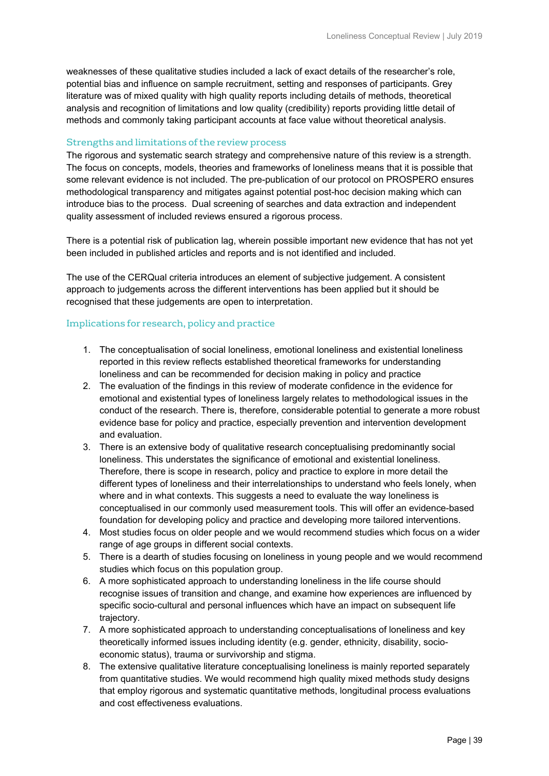weaknesses of these qualitative studies included a lack of exact details of the researcher's role, potential bias and influence on sample recruitment, setting and responses of participants. Grey literature was of mixed quality with high quality reports including details of methods, theoretical analysis and recognition of limitations and low quality (credibility) reports providing little detail of methods and commonly taking participant accounts at face value without theoretical analysis.

#### Strengths and limitations of the review process

The rigorous and systematic search strategy and comprehensive nature of this review is a strength. The focus on concepts, models, theories and frameworks of loneliness means that it is possible that some relevant evidence is not included. The pre-publication of our protocol on PROSPERO ensures methodological transparency and mitigates against potential post-hoc decision making which can introduce bias to the process. Dual screening of searches and data extraction and independent quality assessment of included reviews ensured a rigorous process.

There is a potential risk of publication lag, wherein possible important new evidence that has not yet been included in published articles and reports and is not identified and included.

The use of the CERQual criteria introduces an element of subjective judgement. A consistent approach to judgements across the different interventions has been applied but it should be recognised that these judgements are open to interpretation.

#### Implications for research, policy and practice

- 1. The conceptualisation of social loneliness, emotional loneliness and existential loneliness reported in this review reflects established theoretical frameworks for understanding loneliness and can be recommended for decision making in policy and practice
- 2. The evaluation of the findings in this review of moderate confidence in the evidence for emotional and existential types of loneliness largely relates to methodological issues in the conduct of the research. There is, therefore, considerable potential to generate a more robust evidence base for policy and practice, especially prevention and intervention development and evaluation.
- 3. There is an extensive body of qualitative research conceptualising predominantly social loneliness. This understates the significance of emotional and existential loneliness. Therefore, there is scope in research, policy and practice to explore in more detail the different types of loneliness and their interrelationships to understand who feels lonely, when where and in what contexts. This suggests a need to evaluate the way loneliness is conceptualised in our commonly used measurement tools. This will offer an evidence-based foundation for developing policy and practice and developing more tailored interventions.
- 4. Most studies focus on older people and we would recommend studies which focus on a wider range of age groups in different social contexts.
- 5. There is a dearth of studies focusing on loneliness in young people and we would recommend studies which focus on this population group.
- 6. A more sophisticated approach to understanding loneliness in the life course should recognise issues of transition and change, and examine how experiences are influenced by specific socio-cultural and personal influences which have an impact on subsequent life trajectory.
- 7. A more sophisticated approach to understanding conceptualisations of loneliness and key theoretically informed issues including identity (e.g. gender, ethnicity, disability, socioeconomic status), trauma or survivorship and stigma.
- 8. The extensive qualitative literature conceptualising loneliness is mainly reported separately from quantitative studies. We would recommend high quality mixed methods study designs that employ rigorous and systematic quantitative methods, longitudinal process evaluations and cost effectiveness evaluations.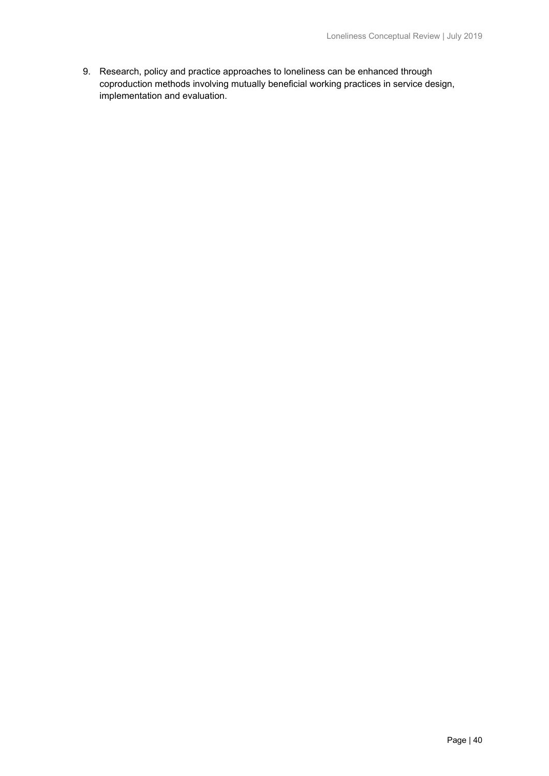9. Research, policy and practice approaches to loneliness can be enhanced through coproduction methods involving mutually beneficial working practices in service design, implementation and evaluation.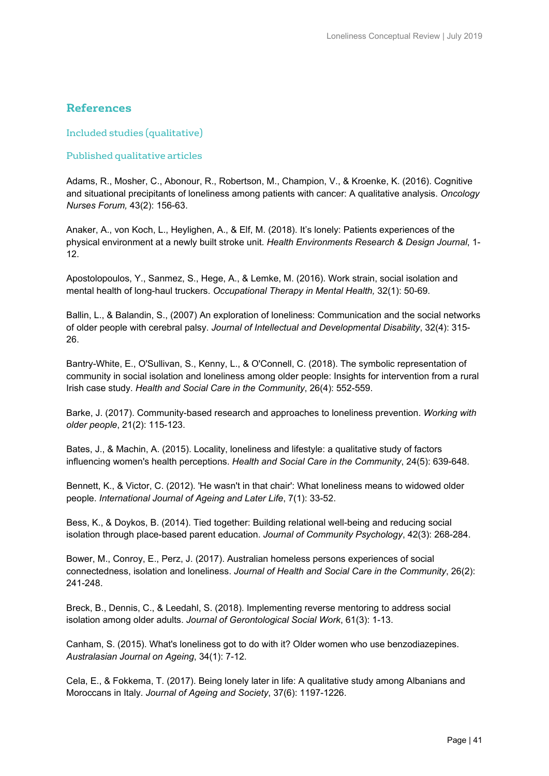# **References**

Included studies (qualitative)

#### Published qualitative articles

Adams, R., Mosher, C., Abonour, R., Robertson, M., Champion, V., & Kroenke, K. (2016). Cognitive and situational precipitants of loneliness among patients with cancer: A qualitative analysis. *Oncology Nurses Forum,* 43(2): 156-63.

Anaker, A., von Koch, L., Heylighen, A., & Elf, M. (2018). It's lonely: Patients experiences of the physical environment at a newly built stroke unit. *Health Environments Research & Design Journal*, 1- 12.

Apostolopoulos, Y., Sanmez, S., Hege, A., & Lemke, M. (2016). Work strain, social isolation and mental health of long-haul truckers. *Occupational Therapy in Mental Health,* 32(1): 50-69.

Ballin, L., & Balandin, S., (2007) An exploration of loneliness: Communication and the social networks of older people with cerebral palsy. *Journal of Intellectual and Developmental Disability*, 32(4): 315- 26.

Bantry-White, E., O'Sullivan, S., Kenny, L., & O'Connell, C. (2018). The symbolic representation of community in social isolation and loneliness among older people: Insights for intervention from a rural Irish case study. *Health and Social Care in the Community*, 26(4): 552-559.

Barke, J. (2017). Community-based research and approaches to loneliness prevention. *Working with older people*, 21(2): 115-123.

Bates, J., & Machin, A. (2015). Locality, loneliness and lifestyle: a qualitative study of factors influencing women's health perceptions. *Health and Social Care in the Community*, 24(5): 639-648.

Bennett, K., & Victor, C. (2012). 'He wasn't in that chair': What loneliness means to widowed older people. *International Journal of Ageing and Later Life*, 7(1): 33-52.

Bess, K., & Doykos, B. (2014). Tied together: Building relational well-being and reducing social isolation through place-based parent education. *Journal of Community Psychology*, 42(3): 268-284.

Bower, M., Conroy, E., Perz, J. (2017). Australian homeless persons experiences of social connectedness, isolation and loneliness. *Journal of Health and Social Care in the Community*, 26(2): 241-248.

Breck, B., Dennis, C., & Leedahl, S. (2018). Implementing reverse mentoring to address social isolation among older adults. *Journal of Gerontological Social Work*, 61(3): 1-13.

Canham, S. (2015). What's loneliness got to do with it? Older women who use benzodiazepines. *Australasian Journal on Ageing*, 34(1): 7-12.

Cela, E., & Fokkema, T. (2017). Being lonely later in life: A qualitative study among Albanians and Moroccans in Italy. *Journal of Ageing and Society*, 37(6): 1197-1226.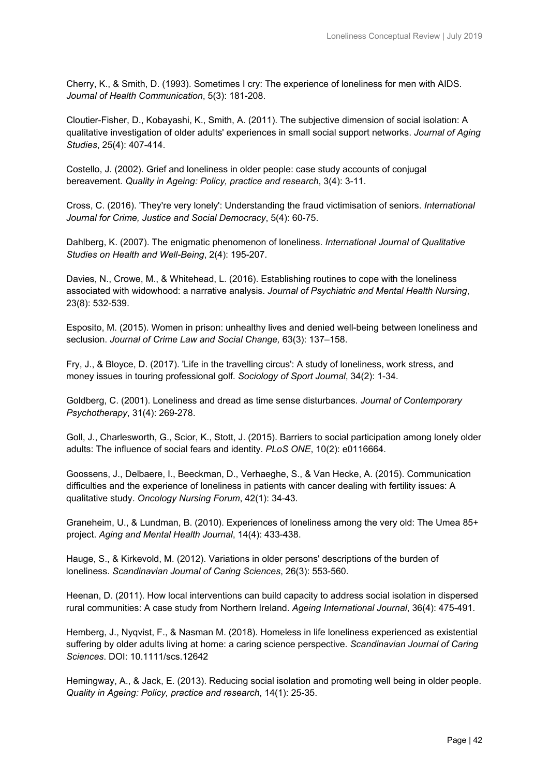Cherry, K., & Smith, D. (1993). Sometimes I cry: The experience of loneliness for men with AIDS. *Journal of Health Communication*, 5(3): 181-208.

Cloutier-Fisher, D., Kobayashi, K., Smith, A. (2011). The subjective dimension of social isolation: A qualitative investigation of older adults' experiences in small social support networks. *Journal of Aging Studies*, 25(4): 407-414.

Costello, J. (2002). Grief and loneliness in older people: case study accounts of conjugal bereavement. *Quality in Ageing: Policy, practice and research*, 3(4): 3-11.

Cross, C. (2016). 'They're very lonely': Understanding the fraud victimisation of seniors. *International Journal for Crime, Justice and Social Democracy*, 5(4): 60-75.

Dahlberg, K. (2007). The enigmatic phenomenon of loneliness. *International Journal of Qualitative Studies on Health and Well-Being*, 2(4): 195-207.

Davies, N., Crowe, M., & Whitehead, L. (2016). Establishing routines to cope with the loneliness associated with widowhood: a narrative analysis. *Journal of Psychiatric and Mental Health Nursing*, 23(8): 532-539.

Esposito, M. (2015). Women in prison: unhealthy lives and denied well-being between loneliness and seclusion. *Journal of Crime Law and Social Change,* 63(3): 137–158.

Fry, J., & Bloyce, D. (2017). 'Life in the travelling circus': A study of loneliness, work stress, and money issues in touring professional golf. *Sociology of Sport Journal*, 34(2): 1-34.

Goldberg, C. (2001). Loneliness and dread as time sense disturbances. *Journal of Contemporary Psychotherapy*, 31(4): 269-278.

Goll, J., Charlesworth, G., Scior, K., Stott, J. (2015). Barriers to social participation among lonely older adults: The influence of social fears and identity. *PLoS ONE*, 10(2): e0116664.

Goossens, J., Delbaere, I., Beeckman, D., Verhaeghe, S., & Van Hecke, A. (2015). Communication difficulties and the experience of loneliness in patients with cancer dealing with fertility issues: A qualitative study. *Oncology Nursing Forum*, 42(1): 34-43.

Graneheim, U., & Lundman, B. (2010). Experiences of loneliness among the very old: The Umea 85+ project. *Aging and Mental Health Journal*, 14(4): 433-438.

Hauge, S., & Kirkevold, M. (2012). Variations in older persons' descriptions of the burden of loneliness. *Scandinavian Journal of Caring Sciences*, 26(3): 553-560.

Heenan, D. (2011). How local interventions can build capacity to address social isolation in dispersed rural communities: A case study from Northern Ireland. *Ageing International Journal*, 36(4): 475-491.

Hemberg, J., Nyqvist, F., & Nasman M. (2018). Homeless in life loneliness experienced as existential suffering by older adults living at home: a caring science perspective. *Scandinavian Journal of Caring Sciences*. DOI: 10.1111/scs.12642

Hemingway, A., & Jack, E. (2013). Reducing social isolation and promoting well being in older people. *Quality in Ageing: Policy, practice and research*, 14(1): 25-35.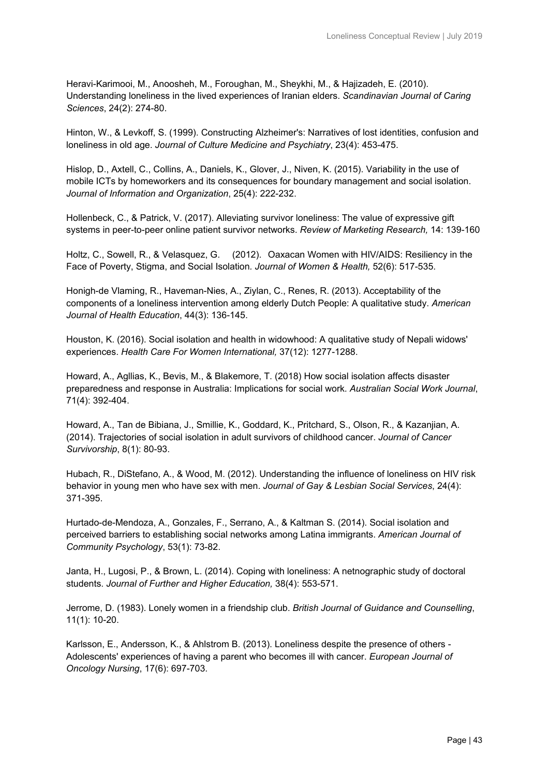Heravi-Karimooi, M., Anoosheh, M., Foroughan, M., Sheykhi, M., & Hajizadeh, E. (2010). Understanding loneliness in the lived experiences of Iranian elders. *Scandinavian Journal of Caring Sciences*, 24(2): 274-80.

Hinton, W., & Levkoff, S. (1999). Constructing Alzheimer's: Narratives of lost identities, confusion and loneliness in old age. *Journal of Culture Medicine and Psychiatry*, 23(4): 453-475.

Hislop, D., Axtell, C., Collins, A., Daniels, K., Glover, J., Niven, K. (2015). Variability in the use of mobile ICTs by homeworkers and its consequences for boundary management and social isolation. *Journal of Information and Organization*, 25(4): 222-232.

Hollenbeck, C., & Patrick, V. (2017). Alleviating survivor loneliness: The value of expressive gift systems in peer-to-peer online patient survivor networks. *Review of Marketing Research,* 14: 139-160

Holtz, C., Sowell, R., & Velasquez, G. (2012). Oaxacan Women with HIV/AIDS: Resiliency in the Face of Poverty, Stigma, and Social Isolation*. Journal of Women & Health,* 52(6): 517-535.

Honigh-de Vlaming, R., Haveman-Nies, A., Ziylan, C., Renes, R. (2013). Acceptability of the components of a loneliness intervention among elderly Dutch People: A qualitative study. *American Journal of Health Education*, 44(3): 136-145.

Houston, K. (2016). Social isolation and health in widowhood: A qualitative study of Nepali widows' experiences. *Health Care For Women International,* 37(12): 1277-1288.

Howard, A., Agllias, K., Bevis, M., & Blakemore, T. (2018) How social isolation affects disaster preparedness and response in Australia: Implications for social work. *Australian Social Work Journal*, 71(4): 392-404.

Howard, A., Tan de Bibiana, J., Smillie, K., Goddard, K., Pritchard, S., Olson, R., & Kazanjian, A. (2014). Trajectories of social isolation in adult survivors of childhood cancer. *Journal of Cancer Survivorship*, 8(1): 80-93.

Hubach, R., DiStefano, A., & Wood, M. (2012). Understanding the influence of loneliness on HIV risk behavior in young men who have sex with men. *Journal of Gay & Lesbian Social Services*, 24(4): 371-395.

Hurtado-de-Mendoza, A., Gonzales, F., Serrano, A., & Kaltman S. (2014). Social isolation and perceived barriers to establishing social networks among Latina immigrants. *American Journal of Community Psychology*, 53(1): 73-82.

Janta, H., Lugosi, P., & Brown, L. (2014). Coping with loneliness: A netnographic study of doctoral students. *Journal of Further and Higher Education,* 38(4): 553-571.

Jerrome, D. (1983). Lonely women in a friendship club. *British Journal of Guidance and Counselling*, 11(1): 10-20.

Karlsson, E., Andersson, K., & Ahlstrom B. (2013). Loneliness despite the presence of others - Adolescents' experiences of having a parent who becomes ill with cancer. *European Journal of Oncology Nursing*, 17(6): 697-703.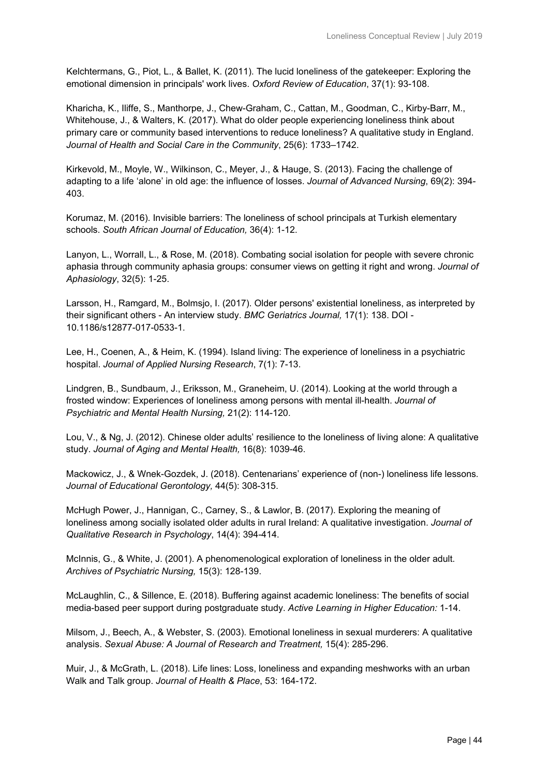Kelchtermans, G., Piot, L., & Ballet, K. (2011). The lucid loneliness of the gatekeeper: Exploring the emotional dimension in principals' work lives. *Oxford Review of Education*, 37(1): 93-108.

Kharicha, K., Iliffe, S., Manthorpe, J., Chew-Graham, C., Cattan, M., Goodman, C., Kirby-Barr, M., Whitehouse, J., & Walters, K. (2017). What do older people experiencing loneliness think about primary care or community based interventions to reduce loneliness? A qualitative study in England. *Journal of Health and Social Care in the Community*, 25(6): 1733–1742.

Kirkevold, M., Moyle, W., Wilkinson, C., Meyer, J., & Hauge, S. (2013). Facing the challenge of adapting to a life 'alone' in old age: the influence of losses. *Journal of Advanced Nursing*, 69(2): 394- 403.

Korumaz, M. (2016). Invisible barriers: The loneliness of school principals at Turkish elementary schools. *South African Journal of Education,* 36(4): 1-12.

Lanyon, L., Worrall, L., & Rose, M. (2018). Combating social isolation for people with severe chronic aphasia through community aphasia groups: consumer views on getting it right and wrong. *Journal of Aphasiology*, 32(5): 1-25.

Larsson, H., Ramgard, M., Bolmsjo, I. (2017). Older persons' existential loneliness, as interpreted by their significant others - An interview study. *BMC Geriatrics Journal,* 17(1): 138. DOI - 10.1186/s12877-017-0533-1.

Lee, H., Coenen, A., & Heim, K. (1994). Island living: The experience of loneliness in a psychiatric hospital. *Journal of Applied Nursing Research*, 7(1): 7-13.

Lindgren, B., Sundbaum, J., Eriksson, M., Graneheim, U. (2014). Looking at the world through a frosted window: Experiences of loneliness among persons with mental ill-health. *Journal of Psychiatric and Mental Health Nursing,* 21(2): 114-120.

Lou, V., & Ng, J. (2012). Chinese older adults' resilience to the loneliness of living alone: A qualitative study. *Journal of Aging and Mental Health,* 16(8): 1039-46.

Mackowicz, J., & Wnek-Gozdek, J. (2018). Centenarians' experience of (non-) loneliness life lessons*. Journal of Educational Gerontology,* 44(5): 308-315.

McHugh Power, J., Hannigan, C., Carney, S., & Lawlor, B. (2017). Exploring the meaning of loneliness among socially isolated older adults in rural Ireland: A qualitative investigation. *Journal of Qualitative Research in Psychology*, 14(4): 394-414.

McInnis, G., & White, J. (2001). A phenomenological exploration of loneliness in the older adult. *Archives of Psychiatric Nursing,* 15(3): 128-139.

McLaughlin, C., & Sillence, E. (2018). Buffering against academic loneliness: The benefits of social media-based peer support during postgraduate study. *Active Learning in Higher Education:* 1-14.

Milsom, J., Beech, A., & Webster, S. (2003). Emotional loneliness in sexual murderers: A qualitative analysis. *Sexual Abuse: A Journal of Research and Treatment,* 15(4): 285-296.

Muir, J., & McGrath, L. (2018). Life lines: Loss, loneliness and expanding meshworks with an urban Walk and Talk group. *Journal of Health & Place*, 53: 164-172.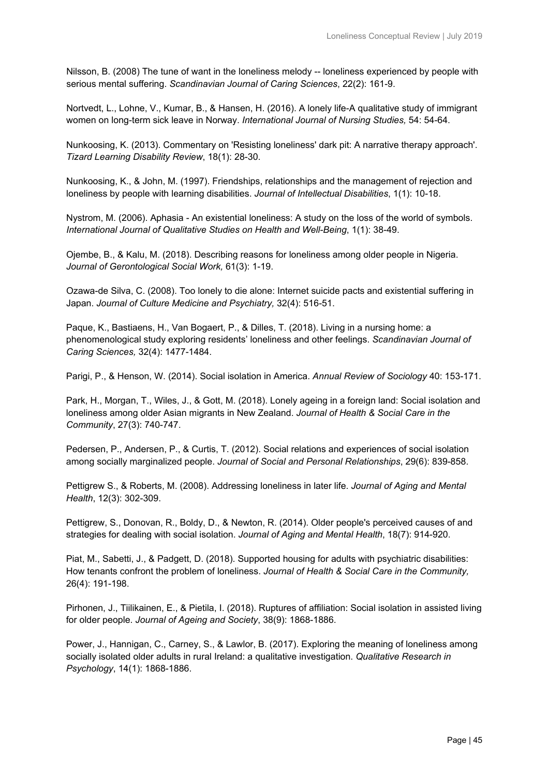Nilsson, B. (2008) The tune of want in the loneliness melody -- loneliness experienced by people with serious mental suffering. *Scandinavian Journal of Caring Sciences*, 22(2): 161-9.

Nortvedt, L., Lohne, V., Kumar, B., & Hansen, H. (2016). A lonely life-A qualitative study of immigrant women on long-term sick leave in Norway. *International Journal of Nursing Studies,* 54: 54-64.

Nunkoosing, K. (2013). Commentary on 'Resisting loneliness' dark pit: A narrative therapy approach'. *Tizard Learning Disability Review*, 18(1): 28-30.

Nunkoosing, K., & John, M. (1997). Friendships, relationships and the management of rejection and loneliness by people with learning disabilities. *Journal of Intellectual Disabilities*, 1(1): 10-18.

Nystrom, M. (2006). Aphasia - An existential loneliness: A study on the loss of the world of symbols. *International Journal of Qualitative Studies on Health and Well-Being*, 1(1): 38-49.

Ojembe, B., & Kalu, M. (2018). Describing reasons for loneliness among older people in Nigeria. *Journal of Gerontological Social Work,* 61(3): 1-19.

Ozawa-de Silva, C. (2008). Too lonely to die alone: Internet suicide pacts and existential suffering in Japan. *Journal of Culture Medicine and Psychiatry,* 32(4): 516-51.

Paque, K., Bastiaens, H., Van Bogaert, P., & Dilles, T. (2018). Living in a nursing home: a phenomenological study exploring residents' loneliness and other feelings. *Scandinavian Journal of Caring Sciences,* 32(4): 1477-1484.

Parigi, P., & Henson, W. (2014). Social isolation in America. *Annual Review of Sociology* 40: 153-171.

Park, H., Morgan, T., Wiles, J., & Gott, M. (2018). Lonely ageing in a foreign land: Social isolation and loneliness among older Asian migrants in New Zealand. *Journal of Health & Social Care in the Community*, 27(3): 740-747.

Pedersen, P., Andersen, P., & Curtis, T. (2012). Social relations and experiences of social isolation among socially marginalized people. *Journal of Social and Personal Relationships*, 29(6): 839-858.

Pettigrew S., & Roberts, M. (2008). Addressing loneliness in later life. *Journal of Aging and Mental Health*, 12(3): 302-309.

Pettigrew, S., Donovan, R., Boldy, D., & Newton, R. (2014). Older people's perceived causes of and strategies for dealing with social isolation. *Journal of Aging and Mental Health*, 18(7): 914-920.

Piat, M., Sabetti, J., & Padgett, D. (2018). Supported housing for adults with psychiatric disabilities: How tenants confront the problem of loneliness. *Journal of Health & Social Care in the Community,*  26(4): 191-198.

Pirhonen, J., Tiilikainen, E., & Pietila, I. (2018). Ruptures of affiliation: Social isolation in assisted living for older people. *Journal of Ageing and Society*, 38(9): 1868-1886.

Power, J., Hannigan, C., Carney, S., & Lawlor, B. (2017). Exploring the meaning of loneliness among socially isolated older adults in rural Ireland: a qualitative investigation. *Qualitative Research in Psychology*, 14(1): 1868-1886.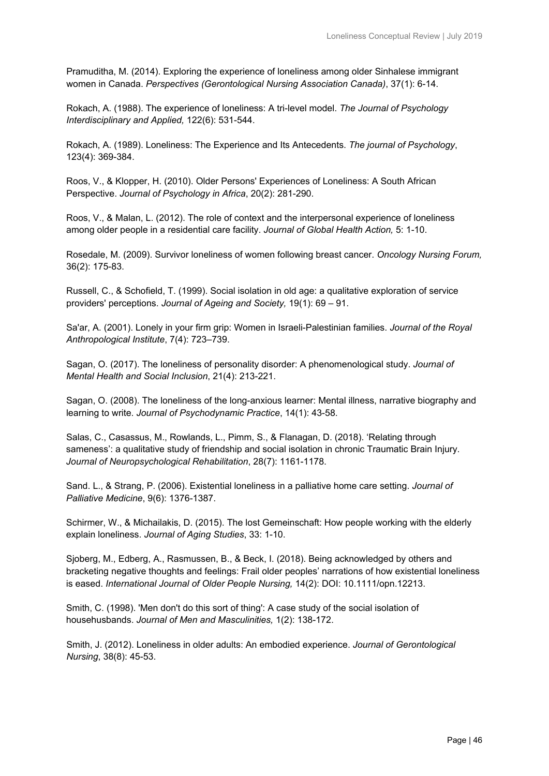Pramuditha, M. (2014). Exploring the experience of loneliness among older Sinhalese immigrant women in Canada. *Perspectives (Gerontological Nursing Association Canada)*, 37(1): 6-14.

Rokach, A. (1988). The experience of loneliness: A tri-level model. *The Journal of Psychology Interdisciplinary and Applied,* 122(6): 531-544.

Rokach, A. (1989). Loneliness: The Experience and Its Antecedents. *The journal of Psychology*, 123(4): 369-384.

Roos, V., & Klopper, H. (2010). Older Persons' Experiences of Loneliness: A South African Perspective. *Journal of Psychology in Africa*, 20(2): 281-290.

Roos, V., & Malan, L. (2012). The role of context and the interpersonal experience of loneliness among older people in a residential care facility. *Journal of Global Health Action,* 5: 1-10.

Rosedale, M. (2009). Survivor loneliness of women following breast cancer. *Oncology Nursing Forum,* 36(2): 175-83.

Russell, C., & Schofield, T. (1999). Social isolation in old age: a qualitative exploration of service providers' perceptions. *Journal of Ageing and Society,* 19(1): 69 – 91.

Sa'ar, A. (2001). Lonely in your firm grip: Women in Israeli-Palestinian families. *Journal of the Royal Anthropological Institute*, 7(4): 723–739.

Sagan, O. (2017). The loneliness of personality disorder: A phenomenological study. *Journal of Mental Health and Social Inclusion*, 21(4): 213-221.

Sagan, O. (2008). The loneliness of the long-anxious learner: Mental illness, narrative biography and learning to write. *Journal of Psychodynamic Practice*, 14(1): 43-58.

Salas, C., Casassus, M., Rowlands, L., Pimm, S., & Flanagan, D. (2018). 'Relating through sameness': a qualitative study of friendship and social isolation in chronic Traumatic Brain Injury. *Journal of Neuropsychological Rehabilitation*, 28(7): 1161-1178.

Sand. L., & Strang, P. (2006). Existential loneliness in a palliative home care setting. *Journal of Palliative Medicine*, 9(6): 1376-1387.

Schirmer, W., & Michailakis, D. (2015). The lost Gemeinschaft: How people working with the elderly explain loneliness. *Journal of Aging Studies*, 33: 1-10.

Sjoberg, M., Edberg, A., Rasmussen, B., & Beck, I. (2018). Being acknowledged by others and bracketing negative thoughts and feelings: Frail older peoples' narrations of how existential loneliness is eased. *International Journal of Older People Nursing,* 14(2): DOI: 10.1111/opn.12213.

Smith, C. (1998). 'Men don't do this sort of thing': A case study of the social isolation of househusbands. *Journal of Men and Masculinities,* 1(2): 138-172.

Smith, J. (2012). Loneliness in older adults: An embodied experience. *Journal of Gerontological Nursing*, 38(8): 45-53.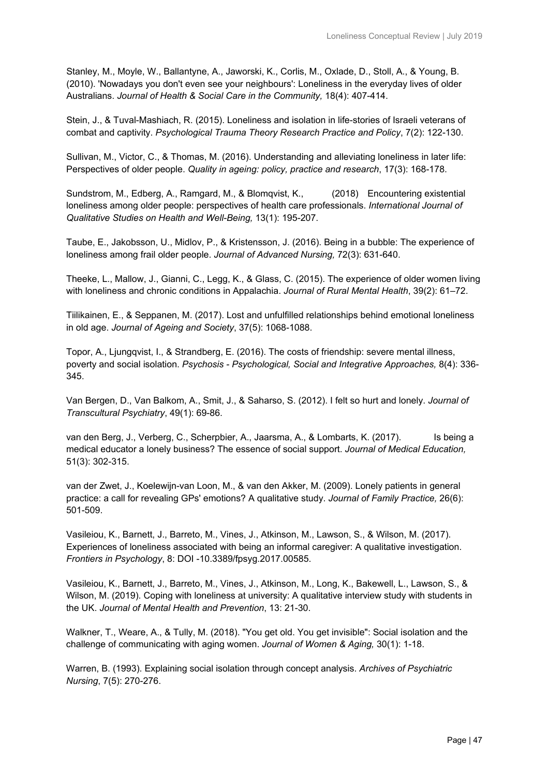Stanley, M., Moyle, W., Ballantyne, A., Jaworski, K., Corlis, M., Oxlade, D., Stoll, A., & Young, B. (2010). 'Nowadays you don't even see your neighbours': Loneliness in the everyday lives of older Australians. *Journal of Health & Social Care in the Community,* 18(4): 407-414.

Stein, J., & Tuval-Mashiach, R. (2015). Loneliness and isolation in life-stories of Israeli veterans of combat and captivity. *Psychological Trauma Theory Research Practice and Policy*, 7(2): 122-130.

Sullivan, M., Victor, C., & Thomas, M. (2016). Understanding and alleviating loneliness in later life: Perspectives of older people. *Quality in ageing: policy, practice and research*, 17(3): 168-178.

Sundstrom, M., Edberg, A., Ramgard, M., & Blomqvist, K., (2018) Encountering existential loneliness among older people: perspectives of health care professionals. *International Journal of Qualitative Studies on Health and Well-Being,* 13(1): 195-207.

Taube, E., Jakobsson, U., Midlov, P., & Kristensson, J. (2016). Being in a bubble: The experience of loneliness among frail older people. *Journal of Advanced Nursing,* 72(3): 631-640.

Theeke, L., Mallow, J., Gianni, C., Legg, K., & Glass, C. (2015). The experience of older women living with loneliness and chronic conditions in Appalachia. *Journal of Rural Mental Health*, 39(2): 61–72.

Tiilikainen, E., & Seppanen, M. (2017). Lost and unfulfilled relationships behind emotional loneliness in old age. *Journal of Ageing and Society*, 37(5): 1068-1088.

Topor, A., Ljungqvist, I., & Strandberg, E. (2016). The costs of friendship: severe mental illness, poverty and social isolation. *Psychosis - Psychological, Social and Integrative Approaches,* 8(4): 336- 345.

Van Bergen, D., Van Balkom, A., Smit, J., & Saharso, S. (2012). I felt so hurt and lonely. *Journal of Transcultural Psychiatry*, 49(1): 69-86.

van den Berg, J., Verberg, C., Scherpbier, A., Jaarsma, A., & Lombarts, K. (2017). Is being a medical educator a lonely business? The essence of social support. *Journal of Medical Education,* 51(3): 302-315.

van der Zwet, J., Koelewijn-van Loon, M., & van den Akker, M. (2009). Lonely patients in general practice: a call for revealing GPs' emotions? A qualitative study. *Journal of Family Practice,* 26(6): 501-509.

Vasileiou, K., Barnett, J., Barreto, M., Vines, J., Atkinson, M., Lawson, S., & Wilson, M. (2017). Experiences of loneliness associated with being an informal caregiver: A qualitative investigation. *Frontiers in Psychology*, 8: DOI -10.3389/fpsyg.2017.00585.

Vasileiou, K., Barnett, J., Barreto, M., Vines, J., Atkinson, M., Long, K., Bakewell, L., Lawson, S., & Wilson, M. (2019). Coping with loneliness at university: A qualitative interview study with students in the UK. *Journal of Mental Health and Prevention*, 13: 21-30.

Walkner, T., Weare, A., & Tully, M. (2018). "You get old. You get invisible": Social isolation and the challenge of communicating with aging women. *Journal of Women & Aging,* 30(1): 1-18.

Warren, B. (1993). Explaining social isolation through concept analysis. *Archives of Psychiatric Nursing*, 7(5): 270-276.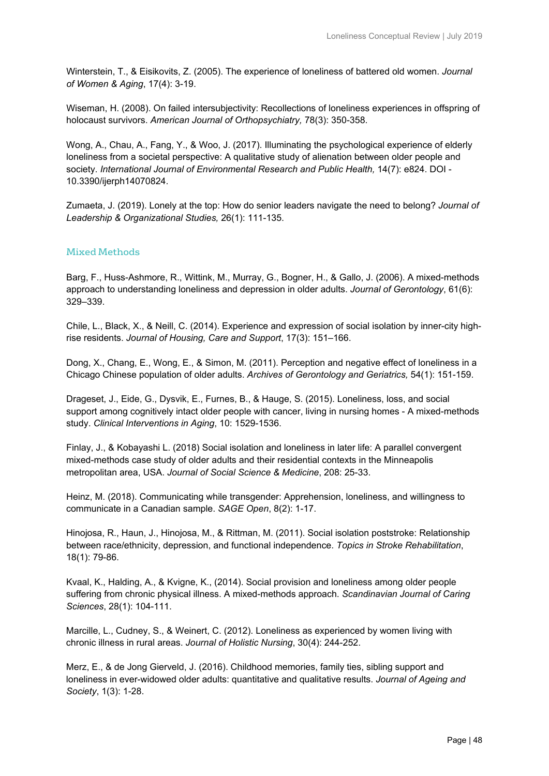Winterstein, T., & Eisikovits, Z. (2005). The experience of loneliness of battered old women. *Journal of Women & Aging*, 17(4): 3-19.

Wiseman, H. (2008). On failed intersubjectivity: Recollections of loneliness experiences in offspring of holocaust survivors. *American Journal of Orthopsychiatry,* 78(3): 350-358.

Wong, A., Chau, A., Fang, Y., & Woo, J. (2017). Illuminating the psychological experience of elderly loneliness from a societal perspective: A qualitative study of alienation between older people and society. *International Journal of Environmental Research and Public Health,* 14(7): e824. DOI - 10.3390/ijerph14070824.

Zumaeta, J. (2019). Lonely at the top: How do senior leaders navigate the need to belong? *Journal of Leadership & Organizational Studies,* 26(1): 111-135.

#### Mixed Methods

Barg, F., Huss-Ashmore, R., Wittink, M., Murray, G., Bogner, H., & Gallo, J. (2006). A mixed-methods approach to understanding loneliness and depression in older adults. *Journal of Gerontology*, 61(6): 329–339.

Chile, L., Black, X., & Neill, C. (2014). Experience and expression of social isolation by inner-city highrise residents. *Journal of Housing, Care and Support*, 17(3): 151–166.

Dong, X., Chang, E., Wong, E., & Simon, M. (2011). Perception and negative effect of loneliness in a Chicago Chinese population of older adults. *Archives of Gerontology and Geriatrics,* 54(1): 151-159.

Drageset, J., Eide, G., Dysvik, E., Furnes, B., & Hauge, S. (2015). Loneliness, loss, and social support among cognitively intact older people with cancer, living in nursing homes - A mixed-methods study. *Clinical Interventions in Aging*, 10: 1529-1536.

Finlay, J., & Kobayashi L. (2018) Social isolation and loneliness in later life: A parallel convergent mixed-methods case study of older adults and their residential contexts in the Minneapolis metropolitan area, USA. *Journal of Social Science & Medicine*, 208: 25-33.

Heinz, M. (2018). Communicating while transgender: Apprehension, loneliness, and willingness to communicate in a Canadian sample. *SAGE Open*, 8(2): 1-17.

Hinojosa, R., Haun, J., Hinojosa, M., & Rittman, M. (2011). Social isolation poststroke: Relationship between race/ethnicity, depression, and functional independence. *Topics in Stroke Rehabilitation*, 18(1): 79-86.

Kvaal, K., Halding, A., & Kvigne, K., (2014). Social provision and loneliness among older people suffering from chronic physical illness. A mixed-methods approach. *Scandinavian Journal of Caring Sciences*, 28(1): 104-111.

Marcille, L., Cudney, S., & Weinert, C. (2012). Loneliness as experienced by women living with chronic illness in rural areas. *Journal of Holistic Nursing*, 30(4): 244-252.

Merz, E., & de Jong Gierveld, J. (2016). Childhood memories, family ties, sibling support and loneliness in ever-widowed older adults: quantitative and qualitative results. *Journal of Ageing and Society*, 1(3): 1-28.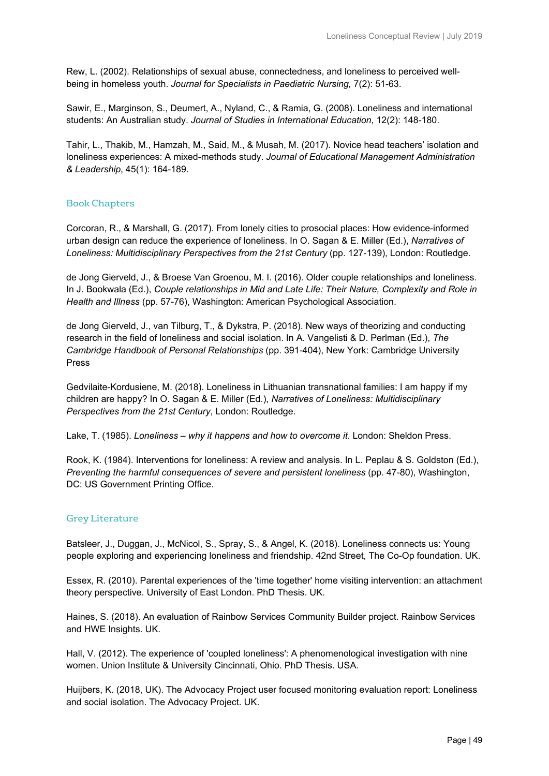Rew, L. (2002). Relationships of sexual abuse, connectedness, and loneliness to perceived wellbeing in homeless youth. *Journal for Specialists in Paediatric Nursing,* 7(2): 51-63.

Sawir, E., Marginson, S., Deumert, A., Nyland, C., & Ramia, G. (2008). Loneliness and international students: An Australian study. *Journal of Studies in International Education*, 12(2): 148-180.

Tahir, L., Thakib, M., Hamzah, M., Said, M., & Musah, M. (2017). Novice head teachers' isolation and loneliness experiences: A mixed-methods study. *Journal of Educational Management Administration & Leadership*, 45(1): 164-189.

#### Book Chapters

Corcoran, R., & Marshall, G. (2017). From lonely cities to prosocial places: How evidence-informed urban design can reduce the experience of loneliness. In O. Sagan & E. Miller (Ed.), *Narratives of Loneliness: Multidisciplinary Perspectives from the 21st Century* (pp. 127-139), London: Routledge.

de Jong Gierveld, J., & Broese Van Groenou, M. I. (2016). Older couple relationships and loneliness. In J. Bookwala (Ed.), *Couple relationships in Mid and Late Life: Their Nature, Complexity and Role in Health and Illness* (pp. 57-76), Washington: American Psychological Association.

de Jong Gierveld, J., van Tilburg, T., & Dykstra, P. (2018). New ways of theorizing and conducting research in the field of loneliness and social isolation. In A. Vangelisti & D. Perlman (Ed.), *The Cambridge Handbook of Personal Relationships* (pp. 391-404), New York: Cambridge University Press

Gedvilaite-Kordusiene, M. (2018). Loneliness in Lithuanian transnational families: I am happy if my children are happy? In O. Sagan & E. Miller (Ed.), *Narratives of Loneliness: Multidisciplinary Perspectives from the 21st Century*, London: Routledge.

Lake, T. (1985). *Loneliness – why it happens and how to overcome it*. London: Sheldon Press.

Rook, K. (1984). Interventions for loneliness: A review and analysis. In L. Peplau & S. Goldston (Ed.), *Preventing the harmful consequences of severe and persistent loneliness* (pp. 47-80), Washington, DC: US Government Printing Office.

#### Grey Literature

Batsleer, J., Duggan, J., McNicol, S., Spray, S., & Angel, K. (2018). Loneliness connects us: Young people exploring and experiencing loneliness and friendship. 42nd Street, The Co-Op foundation. UK.

Essex, R. (2010). Parental experiences of the 'time together' home visiting intervention: an attachment theory perspective. University of East London. PhD Thesis. UK.

Haines, S. (2018). An evaluation of Rainbow Services Community Builder project. Rainbow Services and HWE Insights. UK.

Hall, V. (2012). The experience of 'coupled loneliness': A phenomenological investigation with nine women. Union Institute & University Cincinnati, Ohio. PhD Thesis. USA.

Huijbers, K. (2018, UK). The Advocacy Project user focused monitoring evaluation report: Loneliness and social isolation. The Advocacy Project. UK.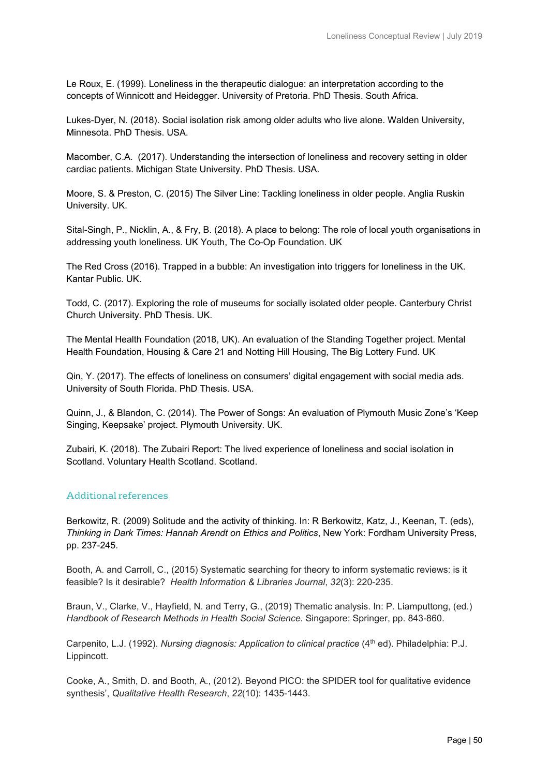Le Roux, E. (1999). Loneliness in the therapeutic dialogue: an interpretation according to the concepts of Winnicott and Heidegger. University of Pretoria. PhD Thesis. South Africa.

Lukes-Dyer, N. (2018). Social isolation risk among older adults who live alone. Walden University, Minnesota. PhD Thesis. USA.

Macomber, C.A. (2017). Understanding the intersection of loneliness and recovery setting in older cardiac patients. Michigan State University. PhD Thesis. USA.

Moore, S. & Preston, C. (2015) The Silver Line: Tackling loneliness in older people. Anglia Ruskin University. UK.

Sital-Singh, P., Nicklin, A., & Fry, B. (2018). A place to belong: The role of local youth organisations in addressing youth loneliness. UK Youth, The Co-Op Foundation. UK

The Red Cross (2016). Trapped in a bubble: An investigation into triggers for loneliness in the UK. Kantar Public. UK.

Todd, C. (2017). Exploring the role of museums for socially isolated older people. Canterbury Christ Church University. PhD Thesis. UK.

The Mental Health Foundation (2018, UK). An evaluation of the Standing Together project. Mental Health Foundation, Housing & Care 21 and Notting Hill Housing, The Big Lottery Fund. UK

Qin, Y. (2017). The effects of loneliness on consumers' digital engagement with social media ads. University of South Florida. PhD Thesis. USA.

Quinn, J., & Blandon, C. (2014). The Power of Songs: An evaluation of Plymouth Music Zone's 'Keep Singing, Keepsake' project. Plymouth University. UK.

Zubairi, K. (2018). The Zubairi Report: The lived experience of loneliness and social isolation in Scotland. Voluntary Health Scotland. Scotland.

#### Additional references

Berkowitz, R. (2009) Solitude and the activity of thinking. In: R Berkowitz, Katz, J., Keenan, T. (eds), *Thinking in Dark Times: Hannah Arendt on Ethics and Politics*, New York: Fordham University Press, pp. 237-245.

Booth, A. and Carroll, C., (2015) Systematic searching for theory to inform systematic reviews: is it feasible? Is it desirable? *Health Information & Libraries Journal*, *32*(3): 220-235.

Braun, V., Clarke, V., Hayfield, N. and Terry, G., (2019) Thematic analysis. In: P. Liamputtong, (ed.) *Handbook of Research Methods in Health Social Science.* Singapore: Springer, pp. 843-860.

Carpenito, L.J. (1992). *Nursing diagnosis: Application to clinical practice* (4<sup>th</sup> ed). Philadelphia: P.J. Lippincott.

Cooke, A., Smith, D. and Booth, A., (2012). Beyond PICO: the SPIDER tool for qualitative evidence synthesis', *Qualitative Health Research*, *22*(10): 1435-1443.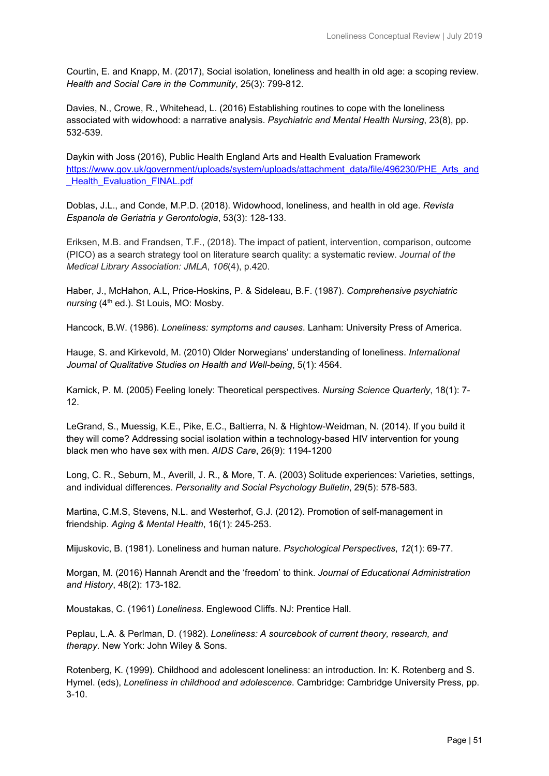Courtin, E. and Knapp, M. (2017), Social isolation, loneliness and health in old age: a scoping review. *Health and Social Care in the Community*, 25(3): 799-812.

Davies, N., Crowe, R., Whitehead, L. (2016) Establishing routines to cope with the loneliness associated with widowhood: a narrative analysis. *Psychiatric and Mental Health Nursing*, 23(8), pp. 532-539.

Daykin with Joss (2016), Public Health England Arts and Health Evaluation Framework [https://www.gov.uk/government/uploads/system/uploads/attachment\\_data/file/496230/PHE\\_Arts\\_and](https://www.gov.uk/government/uploads/system/uploads/attachment_data/file/496230/PHE_Arts_and_Health_Evaluation_FINAL.pdf) Health Evaluation FINAL.pdf

Doblas, J.L., and Conde, M.P.D. (2018). Widowhood, loneliness, and health in old age. *Revista Espanola de Geriatria y Gerontologia*, 53(3): 128-133.

Eriksen, M.B. and Frandsen, T.F., (2018). The impact of patient, intervention, comparison, outcome (PICO) as a search strategy tool on literature search quality: a systematic review. *Journal of the Medical Library Association: JMLA*, *106*(4), p.420.

Haber, J., McHahon, A.L, Price-Hoskins, P. & Sideleau, B.F. (1987). *Comprehensive psychiatric nursing* (4<sup>th</sup> ed.). St Louis, MO: Mosby.

Hancock, B.W. (1986). *Loneliness: symptoms and causes*. Lanham: University Press of America.

Hauge, S. and Kirkevold, M. (2010) Older Norwegians' understanding of loneliness. *International Journal of Qualitative Studies on Health and Well-being*, 5(1): 4564.

Karnick, P. M. (2005) Feeling lonely: Theoretical perspectives. *Nursing Science Quarterly*, 18(1): 7- 12.

LeGrand, S., Muessig, K.E., Pike, E.C., Baltierra, N. & Hightow-Weidman, N. (2014). If you build it they will come? Addressing social isolation within a technology-based HIV intervention for young black men who have sex with men. *AIDS Care*, 26(9): 1194-1200

Long, C. R., Seburn, M., Averill, J. R., & More, T. A. (2003) Solitude experiences: Varieties, settings, and individual differences. *Personality and Social Psychology Bulletin*, 29(5): 578-583.

Martina, C.M.S, Stevens, N.L. and Westerhof, G.J. (2012). Promotion of self-management in friendship. *Aging & Mental Health*, 16(1): 245-253.

Mijuskovic, B. (1981). Loneliness and human nature. *Psychological Perspectives*, *12*(1): 69-77.

Morgan, M. (2016) Hannah Arendt and the 'freedom' to think. *Journal of Educational Administration and History*, 48(2): 173-182.

Moustakas, C. (1961) *Loneliness*. Englewood Cliffs. NJ: Prentice Hall.

Peplau, L.A. & Perlman, D. (1982). *Loneliness: A sourcebook of current theory, research, and therapy*. New York: John Wiley & Sons.

Rotenberg, K. (1999). Childhood and adolescent loneliness: an introduction. In: K. Rotenberg and S. Hymel. (eds), *Loneliness in childhood and adolescence*. Cambridge: Cambridge University Press, pp. 3-10.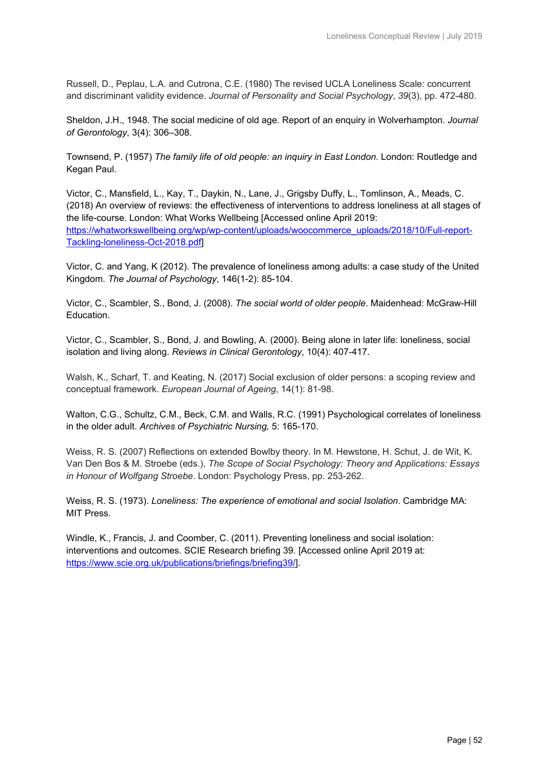Russell, D., Peplau, L.A. and Cutrona, C.E. (1980) The revised UCLA Loneliness Scale: concurrent and discriminant validity evidence. *Journal of Personality and Social Psychology*, *39*(3), pp. 472-480.

Sheldon, J.H., 1948. The social medicine of old age. Report of an enquiry in Wolverhampton. *Journal of Gerontology*, 3(4): 306–308.

Townsend, P. (1957) *The family life of old people: an inquiry in East London.* London: Routledge and Kegan Paul.

Victor, C., Mansfield, L., Kay, T., Daykin, N., Lane, J., Grigsby Duffy, L., Tomlinson, A., Meads, C. (2018) An overview of reviews: the effectiveness of interventions to address loneliness at all stages of the life-course. London: What Works Wellbeing [Accessed online April 2019: [https://whatworkswellbeing.org/wp/wp-content/uploads/woocommerce\\_uploads/2018/10/Full-report-](https://whatworkswellbeing.org/wp/wp-content/uploads/woocommerce_uploads/2018/10/Full-report-Tackling-loneliness-Oct-2018.pdf)[Tackling-loneliness-Oct-2018.pdf\]](https://whatworkswellbeing.org/wp/wp-content/uploads/woocommerce_uploads/2018/10/Full-report-Tackling-loneliness-Oct-2018.pdf)

Victor, C. and Yang, K (2012). The prevalence of loneliness among adults: a case study of the United Kingdom. *The Journal of Psychology*, 146(1-2): 85-104.

Victor, C., Scambler, S., Bond, J. (2008). *The social world of older people*. Maidenhead: McGraw-Hill Education.

Victor, C., Scambler, S., Bond, J. and Bowling, A. (2000). Being alone in later life: loneliness, social isolation and living along. *Reviews in Clinical Gerontology*, 10(4): 407-417.

Walsh, K., Scharf, T. and Keating, N. (2017) Social exclusion of older persons: a scoping review and conceptual framework. *European Journal of Ageing*, 14(1): 81-98.

Walton, C.G., Schultz, C.M., Beck, C.M. and Walls, R.C. (1991) Psychological correlates of loneliness in the older adult. *Archives of Psychiatric Nursing,* 5: 165-170.

Weiss, R. S. (2007) Reflections on extended Bowlby theory. In M. Hewstone, H. Schut, J. de Wit, K. Van Den Bos & M. Stroebe (eds.), *The Scope of Social Psychology: Theory and Applications: Essays in Honour of Wolfgang Stroebe*. London: Psychology Press, pp. 253-262.

Weiss, R. S. (1973). *Loneliness: The experience of emotional and social Isolation*. Cambridge MA: MIT Press.

Windle, K., Francis, J. and Coomber, C. (2011). Preventing loneliness and social isolation: interventions and outcomes. SCIE Research briefing 39. [Accessed online April 2019 at: [https://www.scie.org.uk/publications/briefings/briefing39/\]](https://www.scie.org.uk/publications/briefings/briefing39/).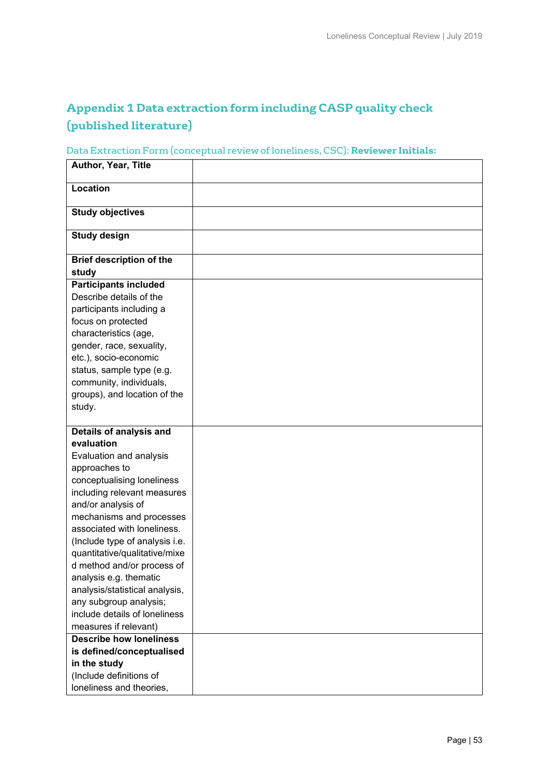# **Appendix 1 Data extraction form including CASP quality check (published literature)**

# Data Extraction Form (conceptual review of loneliness, CSC): **Reviewer Initials:**

| Author, Year, Title                      |  |
|------------------------------------------|--|
| Location                                 |  |
| <b>Study objectives</b>                  |  |
| <b>Study design</b>                      |  |
| <b>Brief description of the</b><br>study |  |
| <b>Participants included</b>             |  |
| Describe details of the                  |  |
| participants including a                 |  |
| focus on protected                       |  |
| characteristics (age,                    |  |
| gender, race, sexuality,                 |  |
| etc.), socio-economic                    |  |
| status, sample type (e.g.                |  |
| community, individuals,                  |  |
| groups), and location of the             |  |
| study.                                   |  |
|                                          |  |
| Details of analysis and                  |  |
| evaluation                               |  |
| Evaluation and analysis                  |  |
| approaches to                            |  |
| conceptualising loneliness               |  |
| including relevant measures              |  |
| and/or analysis of                       |  |
| mechanisms and processes                 |  |
| associated with loneliness.              |  |
| (Include type of analysis i.e.           |  |
| quantitative/qualitative/mixe            |  |
| d method and/or process of               |  |
| analysis e.g. thematic                   |  |
| analysis/statistical analysis,           |  |
| any subgroup analysis;                   |  |
| include details of loneliness            |  |
| measures if relevant)                    |  |
| <b>Describe how loneliness</b>           |  |
| is defined/conceptualised                |  |
| in the study                             |  |
| (Include definitions of                  |  |
| loneliness and theories,                 |  |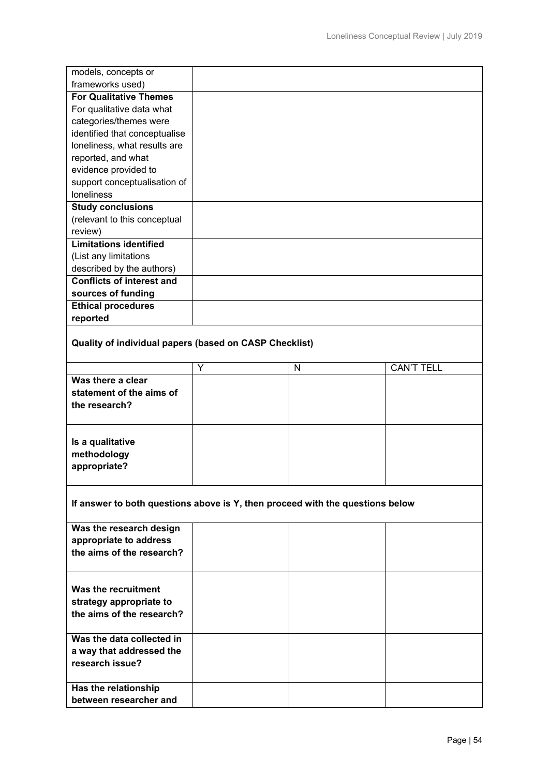| models, concepts or              |  |
|----------------------------------|--|
| frameworks used)                 |  |
| <b>For Qualitative Themes</b>    |  |
| For qualitative data what        |  |
| categories/themes were           |  |
| identified that conceptualise    |  |
| loneliness, what results are     |  |
| reported, and what               |  |
| evidence provided to             |  |
| support conceptualisation of     |  |
| <b>loneliness</b>                |  |
| <b>Study conclusions</b>         |  |
| (relevant to this conceptual     |  |
| review)                          |  |
| <b>Limitations identified</b>    |  |
| (List any limitations            |  |
| described by the authors)        |  |
| <b>Conflicts of interest and</b> |  |
| sources of funding               |  |
| <b>Ethical procedures</b>        |  |
| reported                         |  |
|                                  |  |

# **Quality of individual papers (based on CASP Checklist)**

|                                                                | N | <b>CAN'T TELL</b> |
|----------------------------------------------------------------|---|-------------------|
| Was there a clear<br>statement of the aims of<br>the research? |   |                   |
| Is a qualitative<br>methodology<br>appropriate?                |   |                   |

# **If answer to both questions above is Y, then proceed with the questions below**

| Was the research design<br>appropriate to address<br>the aims of the research? |  |  |
|--------------------------------------------------------------------------------|--|--|
| Was the recruitment<br>strategy appropriate to<br>the aims of the research?    |  |  |
| Was the data collected in<br>a way that addressed the<br>research issue?       |  |  |
| Has the relationship<br>between researcher and                                 |  |  |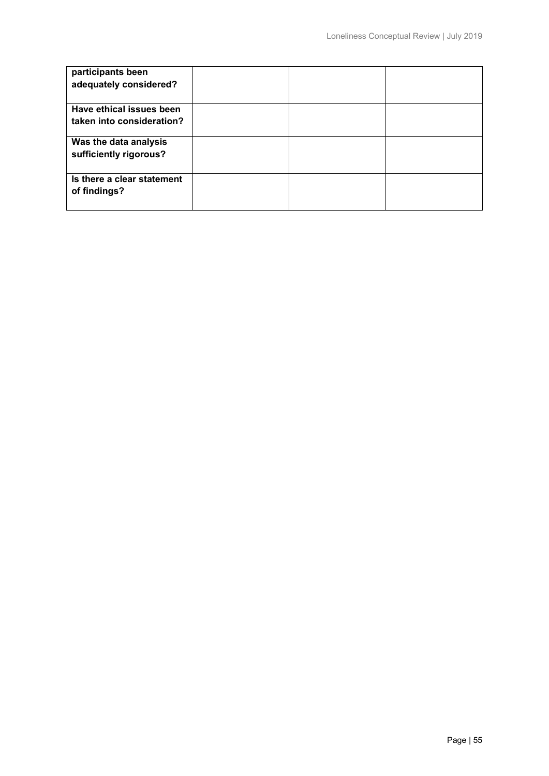| participants been          |  |  |
|----------------------------|--|--|
| adequately considered?     |  |  |
|                            |  |  |
| Have ethical issues been   |  |  |
| taken into consideration?  |  |  |
| Was the data analysis      |  |  |
| sufficiently rigorous?     |  |  |
|                            |  |  |
| Is there a clear statement |  |  |
| of findings?               |  |  |
|                            |  |  |